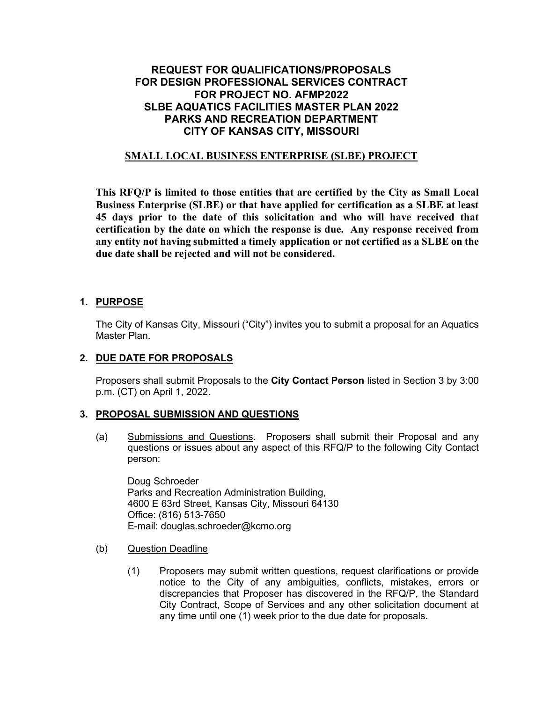## **REQUEST FOR QUALIFICATIONS/PROPOSALS FOR DESIGN PROFESSIONAL SERVICES CONTRACT FOR PROJECT NO. AFMP2022 SLBE AQUATICS FACILITIES MASTER PLAN 2022 PARKS AND RECREATION DEPARTMENT CITY OF KANSAS CITY, MISSOURI**

### **SMALL LOCAL BUSINESS ENTERPRISE (SLBE) PROJECT**

**This RFQ/P is limited to those entities that are certified by the City as Small Local Business Enterprise (SLBE) or that have applied for certification as a SLBE at least 45 days prior to the date of this solicitation and who will have received that certification by the date on which the response is due. Any response received from any entity not having submitted a timely application or not certified as a SLBE on the due date shall be rejected and will not be considered.** 

### **1. PURPOSE**

The City of Kansas City, Missouri ("City") invites you to submit a proposal for an Aquatics Master Plan.

### **2. DUE DATE FOR PROPOSALS**

Proposers shall submit Proposals to the **City Contact Person** listed in Section 3 by 3:00 p.m. (CT) on April 1, 2022.

### **3. PROPOSAL SUBMISSION AND QUESTIONS**

(a) Submissions and Questions. Proposers shall submit their Proposal and any questions or issues about any aspect of this RFQ/P to the following City Contact person:

Doug Schroeder Parks and Recreation Administration Building, 4600 E 63rd Street, Kansas City, Missouri 64130 Office: (816) 513-7650 E-mail: douglas.schroeder@kcmo.org

- (b) Question Deadline
	- (1) Proposers may submit written questions, request clarifications or provide notice to the City of any ambiguities, conflicts, mistakes, errors or discrepancies that Proposer has discovered in the RFQ/P, the Standard City Contract, Scope of Services and any other solicitation document at any time until one (1) week prior to the due date for proposals.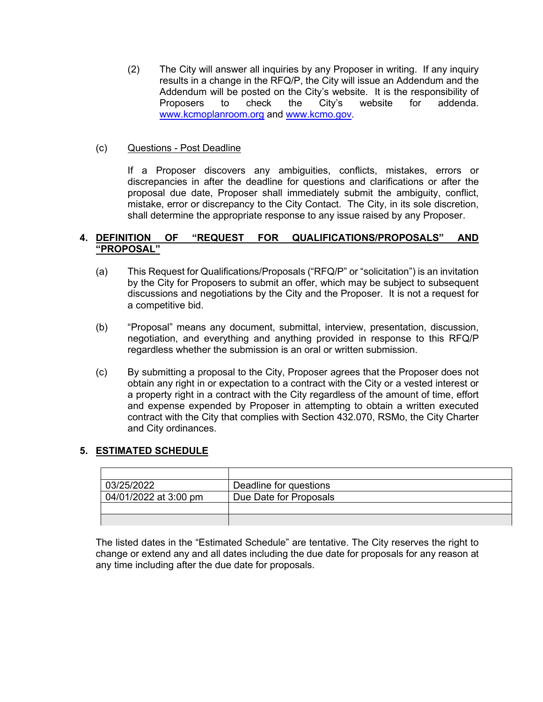(2) The City will answer all inquiries by any Proposer in writing. If any inquiry results in a change in the RFQ/P, the City will issue an Addendum and the Addendum will be posted on the City's website. It is the responsibility of Proposers to check the City's website for addenda. [www.kcmoplanroom.org](http://www.kcmoplanroom.org/) and [www.kcmo.gov.](http://www.kcmo.gov/)

### (c) Questions - Post Deadline

If a Proposer discovers any ambiguities, conflicts, mistakes, errors or discrepancies in after the deadline for questions and clarifications or after the proposal due date, Proposer shall immediately submit the ambiguity, conflict, mistake, error or discrepancy to the City Contact. The City, in its sole discretion, shall determine the appropriate response to any issue raised by any Proposer.

#### **4. DEFINITION OF "REQUEST FOR QUALIFICATIONS/PROPOSALS" AND "PROPOSAL"**

- (a) This Request for Qualifications/Proposals ("RFQ/P" or "solicitation") is an invitation by the City for Proposers to submit an offer, which may be subject to subsequent discussions and negotiations by the City and the Proposer. It is not a request for a competitive bid.
- (b) "Proposal" means any document, submittal, interview, presentation, discussion, negotiation, and everything and anything provided in response to this RFQ/P regardless whether the submission is an oral or written submission.
- (c) By submitting a proposal to the City, Proposer agrees that the Proposer does not obtain any right in or expectation to a contract with the City or a vested interest or a property right in a contract with the City regardless of the amount of time, effort and expense expended by Proposer in attempting to obtain a written executed contract with the City that complies with Section 432.070, RSMo, the City Charter and City ordinances.

## **5. ESTIMATED SCHEDULE**

| 03/25/2022            | Deadline for questions |
|-----------------------|------------------------|
| 04/01/2022 at 3:00 pm | Due Date for Proposals |
|                       |                        |
|                       |                        |

The listed dates in the "Estimated Schedule" are tentative. The City reserves the right to change or extend any and all dates including the due date for proposals for any reason at any time including after the due date for proposals.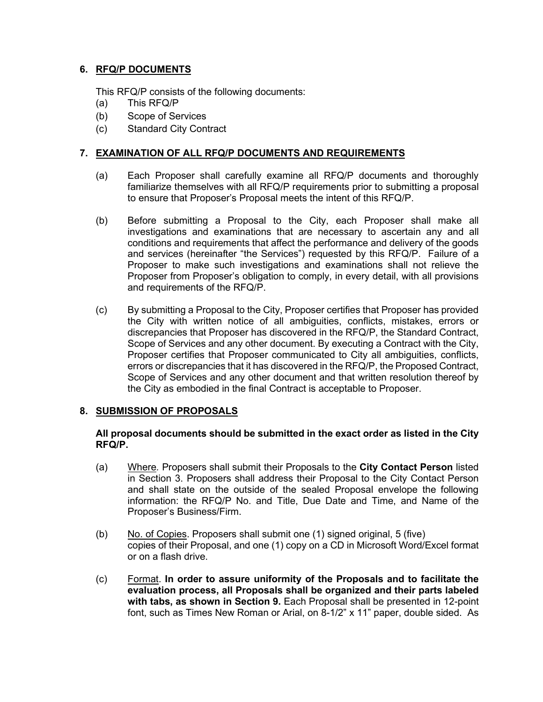### **6. RFQ/P DOCUMENTS**

This RFQ/P consists of the following documents:

- (a) This RFQ/P
- (b) Scope of Services
- (c) Standard City Contract

### **7. EXAMINATION OF ALL RFQ/P DOCUMENTS AND REQUIREMENTS**

- (a) Each Proposer shall carefully examine all RFQ/P documents and thoroughly familiarize themselves with all RFQ/P requirements prior to submitting a proposal to ensure that Proposer's Proposal meets the intent of this RFQ/P.
- (b) Before submitting a Proposal to the City, each Proposer shall make all investigations and examinations that are necessary to ascertain any and all conditions and requirements that affect the performance and delivery of the goods and services (hereinafter "the Services") requested by this RFQ/P. Failure of a Proposer to make such investigations and examinations shall not relieve the Proposer from Proposer's obligation to comply, in every detail, with all provisions and requirements of the RFQ/P.
- (c) By submitting a Proposal to the City, Proposer certifies that Proposer has provided the City with written notice of all ambiguities, conflicts, mistakes, errors or discrepancies that Proposer has discovered in the RFQ/P, the Standard Contract, Scope of Services and any other document. By executing a Contract with the City, Proposer certifies that Proposer communicated to City all ambiguities, conflicts, errors or discrepancies that it has discovered in the RFQ/P, the Proposed Contract, Scope of Services and any other document and that written resolution thereof by the City as embodied in the final Contract is acceptable to Proposer.

### **8. SUBMISSION OF PROPOSALS**

#### **All proposal documents should be submitted in the exact order as listed in the City RFQ/P.**

- (a) Where*.* Proposers shall submit their Proposals to the **City Contact Person** listed in Section 3. Proposers shall address their Proposal to the City Contact Person and shall state on the outside of the sealed Proposal envelope the following information: the RFQ/P No. and Title, Due Date and Time, and Name of the Proposer's Business/Firm.
- (b) No. of Copies. Proposers shall submit one (1) signed original, 5 (five) copies of their Proposal, and one (1) copy on a CD in Microsoft Word/Excel format or on a flash drive.
- (c) Format. **In order to assure uniformity of the Proposals and to facilitate the evaluation process, all Proposals shall be organized and their parts labeled with tabs, as shown in Section 9.** Each Proposal shall be presented in 12-point font, such as Times New Roman or Arial, on 8-1/2" x 11" paper, double sided. As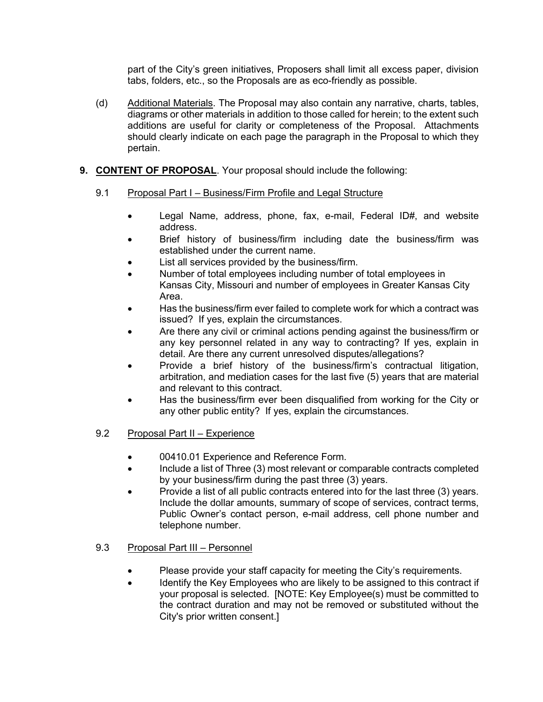part of the City's green initiatives, Proposers shall limit all excess paper, division tabs, folders, etc., so the Proposals are as eco-friendly as possible.

(d) Additional Materials. The Proposal may also contain any narrative, charts, tables, diagrams or other materials in addition to those called for herein; to the extent such additions are useful for clarity or completeness of the Proposal. Attachments should clearly indicate on each page the paragraph in the Proposal to which they pertain.

### **9. CONTENT OF PROPOSAL**. Your proposal should include the following:

### 9.1 Proposal Part I – Business/Firm Profile and Legal Structure

- Legal Name, address, phone, fax, e-mail, Federal ID#, and website address.
- Brief history of business/firm including date the business/firm was established under the current name.
- List all services provided by the business/firm.
- Number of total employees including number of total employees in Kansas City, Missouri and number of employees in Greater Kansas City Area.
- Has the business/firm ever failed to complete work for which a contract was issued? If yes, explain the circumstances.
- Are there any civil or criminal actions pending against the business/firm or any key personnel related in any way to contracting? If yes, explain in detail. Are there any current unresolved disputes/allegations?
- Provide a brief history of the business/firm's contractual litigation, arbitration, and mediation cases for the last five (5) years that are material and relevant to this contract.
- Has the business/firm ever been disqualified from working for the City or any other public entity? If yes, explain the circumstances.

### 9.2 Proposal Part II – Experience

- 00410.01 Experience and Reference Form.
- Include a list of Three (3) most relevant or comparable contracts completed by your business/firm during the past three (3) years.
- Provide a list of all public contracts entered into for the last three (3) years. Include the dollar amounts, summary of scope of services, contract terms, Public Owner's contact person, e-mail address, cell phone number and telephone number.

### 9.3 Proposal Part III – Personnel

- Please provide your staff capacity for meeting the City's requirements.
- Identify the Key Employees who are likely to be assigned to this contract if your proposal is selected. [NOTE: Key Employee(s) must be committed to the contract duration and may not be removed or substituted without the City's prior written consent.]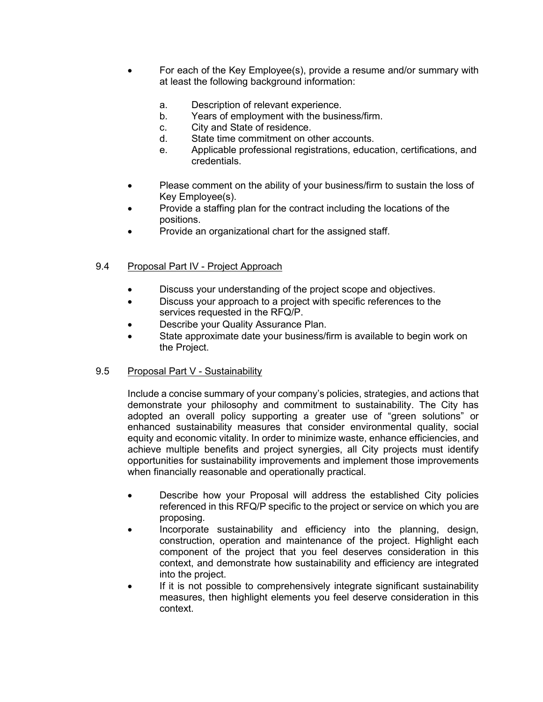- For each of the Key Employee(s), provide a resume and/or summary with at least the following background information:
	- a. Description of relevant experience.
	- b. Years of employment with the business/firm.
	- c. City and State of residence.
	- d. State time commitment on other accounts.
	- e. Applicable professional registrations, education, certifications, and credentials.
- Please comment on the ability of your business/firm to sustain the loss of Key Employee(s).
- Provide a staffing plan for the contract including the locations of the positions.
- Provide an organizational chart for the assigned staff.

### 9.4 Proposal Part IV - Project Approach

- Discuss your understanding of the project scope and objectives.
- Discuss your approach to a project with specific references to the services requested in the RFQ/P.
- Describe your Quality Assurance Plan.
- State approximate date your business/firm is available to begin work on the Project.

### 9.5 Proposal Part V - Sustainability

Include a concise summary of your company's policies, strategies, and actions that demonstrate your philosophy and commitment to sustainability. The City has adopted an overall policy supporting a greater use of "green solutions" or enhanced sustainability measures that consider environmental quality, social equity and economic vitality. In order to minimize waste, enhance efficiencies, and achieve multiple benefits and project synergies, all City projects must identify opportunities for sustainability improvements and implement those improvements when financially reasonable and operationally practical.

- Describe how your Proposal will address the established City policies referenced in this RFQ/P specific to the project or service on which you are proposing.
- Incorporate sustainability and efficiency into the planning, design, construction, operation and maintenance of the project. Highlight each component of the project that you feel deserves consideration in this context, and demonstrate how sustainability and efficiency are integrated into the project.
- If it is not possible to comprehensively integrate significant sustainability measures, then highlight elements you feel deserve consideration in this context.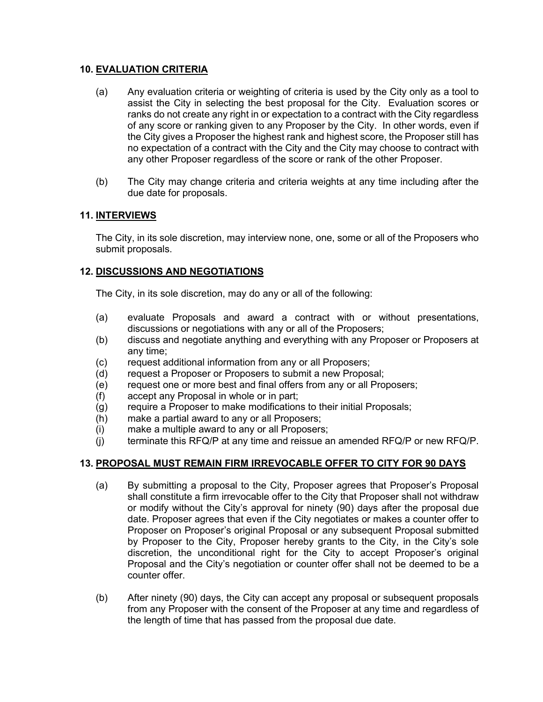### **10. EVALUATION CRITERIA**

- (a) Any evaluation criteria or weighting of criteria is used by the City only as a tool to assist the City in selecting the best proposal for the City. Evaluation scores or ranks do not create any right in or expectation to a contract with the City regardless of any score or ranking given to any Proposer by the City. In other words, even if the City gives a Proposer the highest rank and highest score, the Proposer still has no expectation of a contract with the City and the City may choose to contract with any other Proposer regardless of the score or rank of the other Proposer.
- (b) The City may change criteria and criteria weights at any time including after the due date for proposals.

### **11. INTERVIEWS**

The City, in its sole discretion, may interview none, one, some or all of the Proposers who submit proposals.

### **12. DISCUSSIONS AND NEGOTIATIONS**

The City, in its sole discretion, may do any or all of the following:

- (a) evaluate Proposals and award a contract with or without presentations, discussions or negotiations with any or all of the Proposers;
- (b) discuss and negotiate anything and everything with any Proposer or Proposers at any time;
- (c) request additional information from any or all Proposers;
- (d) request a Proposer or Proposers to submit a new Proposal;
- (e) request one or more best and final offers from any or all Proposers;
- (f) accept any Proposal in whole or in part;
- (g) require a Proposer to make modifications to their initial Proposals;
- (h) make a partial award to any or all Proposers;
- (i) make a multiple award to any or all Proposers;
- (j) terminate this RFQ/P at any time and reissue an amended RFQ/P or new RFQ/P.

### **13. PROPOSAL MUST REMAIN FIRM IRREVOCABLE OFFER TO CITY FOR 90 DAYS**

- (a) By submitting a proposal to the City, Proposer agrees that Proposer's Proposal shall constitute a firm irrevocable offer to the City that Proposer shall not withdraw or modify without the City's approval for ninety (90) days after the proposal due date. Proposer agrees that even if the City negotiates or makes a counter offer to Proposer on Proposer's original Proposal or any subsequent Proposal submitted by Proposer to the City, Proposer hereby grants to the City, in the City's sole discretion, the unconditional right for the City to accept Proposer's original Proposal and the City's negotiation or counter offer shall not be deemed to be a counter offer.
- (b) After ninety (90) days, the City can accept any proposal or subsequent proposals from any Proposer with the consent of the Proposer at any time and regardless of the length of time that has passed from the proposal due date.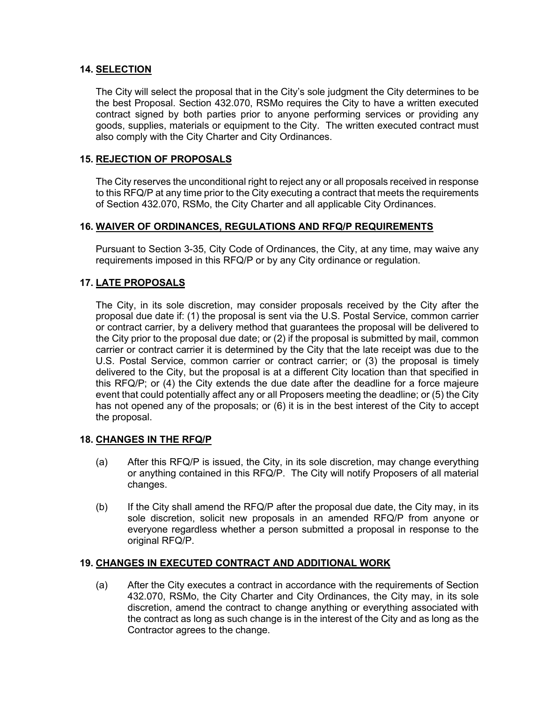#### **14. SELECTION**

The City will select the proposal that in the City's sole judgment the City determines to be the best Proposal. Section 432.070, RSMo requires the City to have a written executed contract signed by both parties prior to anyone performing services or providing any goods, supplies, materials or equipment to the City. The written executed contract must also comply with the City Charter and City Ordinances.

#### **15. REJECTION OF PROPOSALS**

The City reserves the unconditional right to reject any or all proposals received in response to this RFQ/P at any time prior to the City executing a contract that meets the requirements of Section 432.070, RSMo, the City Charter and all applicable City Ordinances.

#### **16. WAIVER OF ORDINANCES, REGULATIONS AND RFQ/P REQUIREMENTS**

Pursuant to Section 3-35, City Code of Ordinances, the City, at any time, may waive any requirements imposed in this RFQ/P or by any City ordinance or regulation.

### **17. LATE PROPOSALS**

The City, in its sole discretion, may consider proposals received by the City after the proposal due date if: (1) the proposal is sent via the U.S. Postal Service, common carrier or contract carrier, by a delivery method that guarantees the proposal will be delivered to the City prior to the proposal due date; or (2) if the proposal is submitted by mail, common carrier or contract carrier it is determined by the City that the late receipt was due to the U.S. Postal Service, common carrier or contract carrier; or (3) the proposal is timely delivered to the City, but the proposal is at a different City location than that specified in this RFQ/P; or (4) the City extends the due date after the deadline for a force majeure event that could potentially affect any or all Proposers meeting the deadline; or (5) the City has not opened any of the proposals; or (6) it is in the best interest of the City to accept the proposal.

#### **18. CHANGES IN THE RFQ/P**

- (a) After this RFQ/P is issued, the City, in its sole discretion, may change everything or anything contained in this RFQ/P. The City will notify Proposers of all material changes.
- (b) If the City shall amend the RFQ/P after the proposal due date, the City may, in its sole discretion, solicit new proposals in an amended RFQ/P from anyone or everyone regardless whether a person submitted a proposal in response to the original RFQ/P.

#### **19. CHANGES IN EXECUTED CONTRACT AND ADDITIONAL WORK**

(a) After the City executes a contract in accordance with the requirements of Section 432.070, RSMo, the City Charter and City Ordinances, the City may, in its sole discretion, amend the contract to change anything or everything associated with the contract as long as such change is in the interest of the City and as long as the Contractor agrees to the change.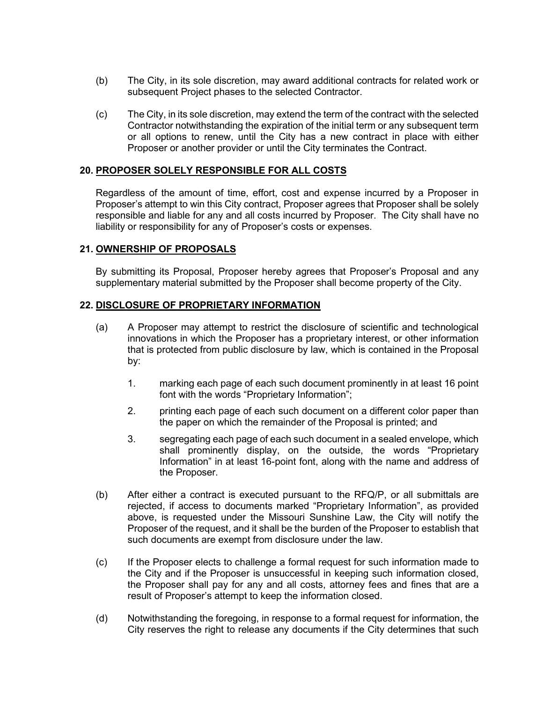- (b) The City, in its sole discretion, may award additional contracts for related work or subsequent Project phases to the selected Contractor.
- (c) The City, in its sole discretion, may extend the term of the contract with the selected Contractor notwithstanding the expiration of the initial term or any subsequent term or all options to renew, until the City has a new contract in place with either Proposer or another provider or until the City terminates the Contract.

#### **20. PROPOSER SOLELY RESPONSIBLE FOR ALL COSTS**

Regardless of the amount of time, effort, cost and expense incurred by a Proposer in Proposer's attempt to win this City contract, Proposer agrees that Proposer shall be solely responsible and liable for any and all costs incurred by Proposer. The City shall have no liability or responsibility for any of Proposer's costs or expenses.

#### **21. OWNERSHIP OF PROPOSALS**

By submitting its Proposal, Proposer hereby agrees that Proposer's Proposal and any supplementary material submitted by the Proposer shall become property of the City.

#### **22. DISCLOSURE OF PROPRIETARY INFORMATION**

- (a) A Proposer may attempt to restrict the disclosure of scientific and technological innovations in which the Proposer has a proprietary interest, or other information that is protected from public disclosure by law, which is contained in the Proposal by:
	- 1. marking each page of each such document prominently in at least 16 point font with the words "Proprietary Information";
	- 2. printing each page of each such document on a different color paper than the paper on which the remainder of the Proposal is printed; and
	- 3. segregating each page of each such document in a sealed envelope, which shall prominently display, on the outside, the words "Proprietary Information" in at least 16-point font, along with the name and address of the Proposer.
- (b) After either a contract is executed pursuant to the RFQ/P, or all submittals are rejected, if access to documents marked "Proprietary Information", as provided above, is requested under the Missouri Sunshine Law, the City will notify the Proposer of the request, and it shall be the burden of the Proposer to establish that such documents are exempt from disclosure under the law.
- (c) If the Proposer elects to challenge a formal request for such information made to the City and if the Proposer is unsuccessful in keeping such information closed, the Proposer shall pay for any and all costs, attorney fees and fines that are a result of Proposer's attempt to keep the information closed.
- (d) Notwithstanding the foregoing, in response to a formal request for information, the City reserves the right to release any documents if the City determines that such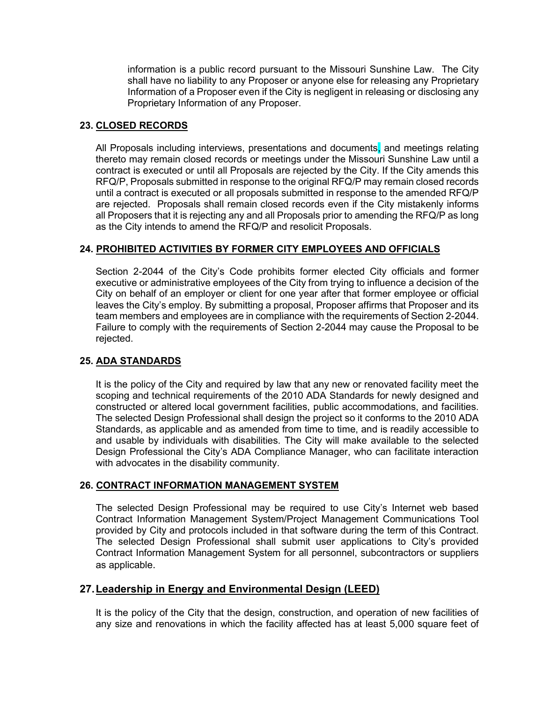information is a public record pursuant to the Missouri Sunshine Law. The City shall have no liability to any Proposer or anyone else for releasing any Proprietary Information of a Proposer even if the City is negligent in releasing or disclosing any Proprietary Information of any Proposer.

### **23. CLOSED RECORDS**

All Proposals including interviews, presentations and documents, and meetings relating thereto may remain closed records or meetings under the Missouri Sunshine Law until a contract is executed or until all Proposals are rejected by the City. If the City amends this RFQ/P, Proposals submitted in response to the original RFQ/P may remain closed records until a contract is executed or all proposals submitted in response to the amended RFQ/P are rejected. Proposals shall remain closed records even if the City mistakenly informs all Proposers that it is rejecting any and all Proposals prior to amending the RFQ/P as long as the City intends to amend the RFQ/P and resolicit Proposals.

### **24. PROHIBITED ACTIVITIES BY FORMER CITY EMPLOYEES AND OFFICIALS**

Section 2-2044 of the City's Code prohibits former elected City officials and former executive or administrative employees of the City from trying to influence a decision of the City on behalf of an employer or client for one year after that former employee or official leaves the City's employ. By submitting a proposal, Proposer affirms that Proposer and its team members and employees are in compliance with the requirements of Section 2-2044. Failure to comply with the requirements of Section 2-2044 may cause the Proposal to be rejected.

### **25. ADA STANDARDS**

It is the policy of the City and required by law that any new or renovated facility meet the scoping and technical requirements of the 2010 ADA Standards for newly designed and constructed or altered local government facilities, public accommodations, and facilities. The selected Design Professional shall design the project so it conforms to the 2010 ADA Standards, as applicable and as amended from time to time, and is readily accessible to and usable by individuals with disabilities. The City will make available to the selected Design Professional the City's ADA Compliance Manager, who can facilitate interaction with advocates in the disability community.

### **26. CONTRACT INFORMATION MANAGEMENT SYSTEM**

The selected Design Professional may be required to use City's Internet web based Contract Information Management System/Project Management Communications Tool provided by City and protocols included in that software during the term of this Contract. The selected Design Professional shall submit user applications to City's provided Contract Information Management System for all personnel, subcontractors or suppliers as applicable.

## **27.Leadership in Energy and Environmental Design (LEED)**

It is the policy of the City that the design, construction, and operation of new facilities of any size and renovations in which the facility affected has at least 5,000 square feet of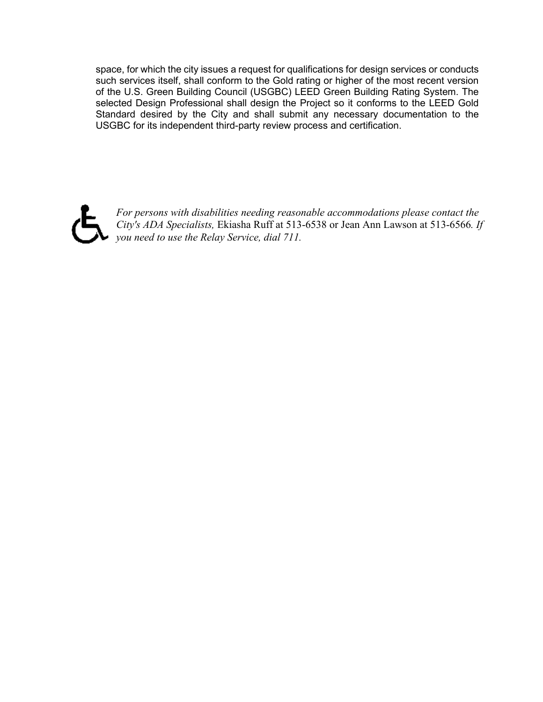space, for which the city issues a request for qualifications for design services or conducts such services itself, shall conform to the Gold rating or higher of the most recent version of the U.S. Green Building Council (USGBC) LEED Green Building Rating System. The selected Design Professional shall design the Project so it conforms to the LEED Gold Standard desired by the City and shall submit any necessary documentation to the USGBC for its independent third-party review process and certification.



*For persons with disabilities needing reasonable accommodations please contact the City's ADA Specialists,* Ekiasha Ruff at 513-6538 or Jean Ann Lawson at 513-6566*. If you need to use the Relay Service, dial 711.*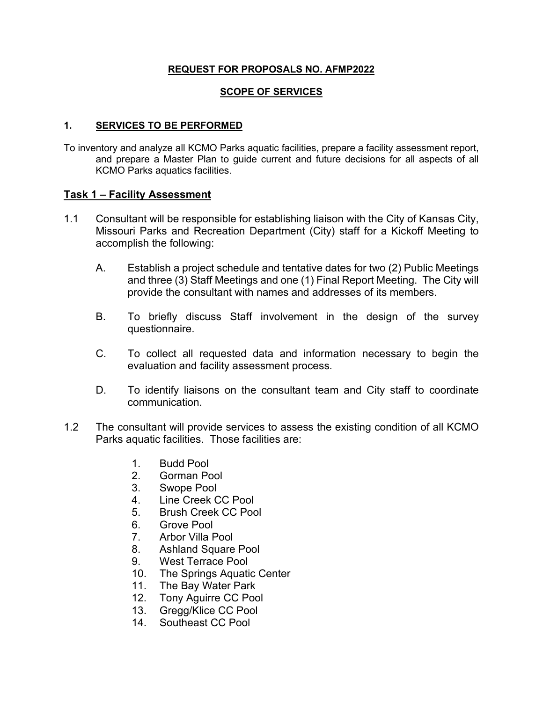### **REQUEST FOR PROPOSALS NO. AFMP2022**

### **SCOPE OF SERVICES**

### **1. SERVICES TO BE PERFORMED**

To inventory and analyze all KCMO Parks aquatic facilities, prepare a facility assessment report, and prepare a Master Plan to guide current and future decisions for all aspects of all KCMO Parks aquatics facilities.

### **Task 1 – Facility Assessment**

- 1.1 Consultant will be responsible for establishing liaison with the City of Kansas City, Missouri Parks and Recreation Department (City) staff for a Kickoff Meeting to accomplish the following:
	- A. Establish a project schedule and tentative dates for two (2) Public Meetings and three (3) Staff Meetings and one (1) Final Report Meeting. The City will provide the consultant with names and addresses of its members.
	- B. To briefly discuss Staff involvement in the design of the survey questionnaire.
	- C. To collect all requested data and information necessary to begin the evaluation and facility assessment process.
	- D. To identify liaisons on the consultant team and City staff to coordinate communication.
- 1.2 The consultant will provide services to assess the existing condition of all KCMO Parks aquatic facilities. Those facilities are:
	- 1. Budd Pool
	- 2. Gorman Pool
	- 3. Swope Pool
	- 4. Line Creek CC Pool
	- 5. Brush Creek CC Pool
	- 6. Grove Pool
	- 7. Arbor Villa Pool
	- 8. Ashland Square Pool
	- 9. West Terrace Pool
	- 10. The Springs Aquatic Center
	- 11. The Bay Water Park
	- 12. Tony Aguirre CC Pool
	- 13. Gregg/Klice CC Pool
	- 14. Southeast CC Pool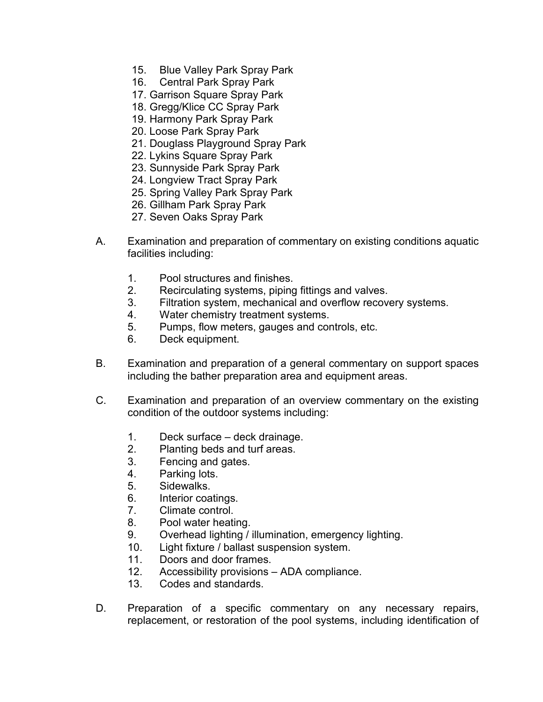- 15. Blue Valley Park Spray Park
- 16. Central Park Spray Park
- 17. Garrison Square Spray Park
- 18. Gregg/Klice CC Spray Park
- 19. Harmony Park Spray Park
- 20. Loose Park Spray Park
- 21. Douglass Playground Spray Park
- 22. Lykins Square Spray Park
- 23. Sunnyside Park Spray Park
- 24. Longview Tract Spray Park
- 25. Spring Valley Park Spray Park
- 26. Gillham Park Spray Park
- 27. Seven Oaks Spray Park
- A. Examination and preparation of commentary on existing conditions aquatic facilities including:
	- 1. Pool structures and finishes.
	- 2. Recirculating systems, piping fittings and valves.
	- 3. Filtration system, mechanical and overflow recovery systems.
	- 4. Water chemistry treatment systems.
	- 5. Pumps, flow meters, gauges and controls, etc.
	- 6. Deck equipment.
- B. Examination and preparation of a general commentary on support spaces including the bather preparation area and equipment areas.
- C. Examination and preparation of an overview commentary on the existing condition of the outdoor systems including:
	- 1. Deck surface deck drainage.
	- 2. Planting beds and turf areas.
	- 3. Fencing and gates.
	- 4. Parking lots.
	- 5. Sidewalks.
	- 6. Interior coatings.
	- 7. Climate control.
	- 8. Pool water heating.
	- 9. Overhead lighting / illumination, emergency lighting.
	- 10. Light fixture / ballast suspension system.
	- 11. Doors and door frames.
	- 12. Accessibility provisions ADA compliance.
	- 13. Codes and standards.
- D. Preparation of a specific commentary on any necessary repairs, replacement, or restoration of the pool systems, including identification of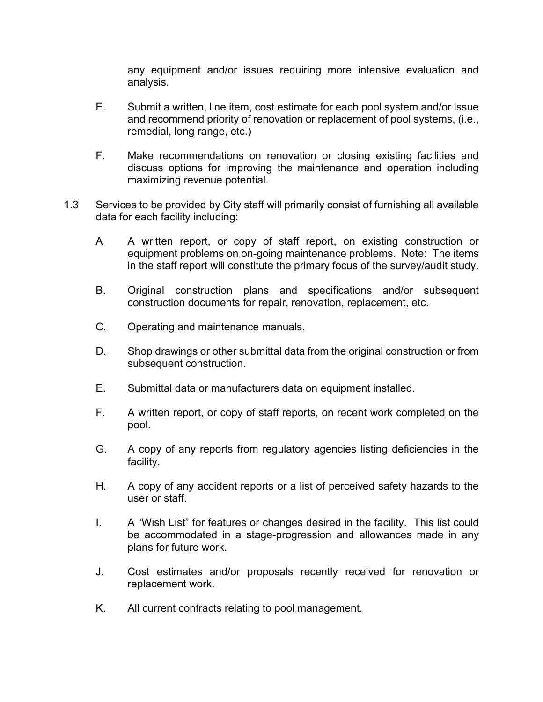any equipment and/or issues requiring more intensive evaluation and analysis.

- E. Submit a written, line item, cost estimate for each pool system and/or issue and recommend priority of renovation or replacement of pool systems, (i.e., remedial, long range, etc.)
- F. Make recommendations on renovation or closing existing facilities and discuss options for improving the maintenance and operation including maximizing revenue potential.
- 1.3 Services to be provided by City staff will primarily consist of furnishing all available data for each facility including:
	- A A written report, or copy of staff report, on existing construction or equipment problems on on-going maintenance problems. Note: The items in the staff report will constitute the primary focus of the survey/audit study.
	- B. Original construction plans and specifications and/or subsequent construction documents for repair, renovation, replacement, etc.
	- C. Operating and maintenance manuals.
	- D. Shop drawings or other submittal data from the original construction or from subsequent construction.
	- E. Submittal data or manufacturers data on equipment installed.
	- F. A written report, or copy of staff reports, on recent work completed on the pool.
	- G. A copy of any reports from regulatory agencies listing deficiencies in the facility.
	- H. A copy of any accident reports or a list of perceived safety hazards to the user or staff.
	- I. A "Wish List" for features or changes desired in the facility. This list could be accommodated in a stage-progression and allowances made in any plans for future work.
	- J. Cost estimates and/or proposals recently received for renovation or replacement work.
	- K. All current contracts relating to pool management.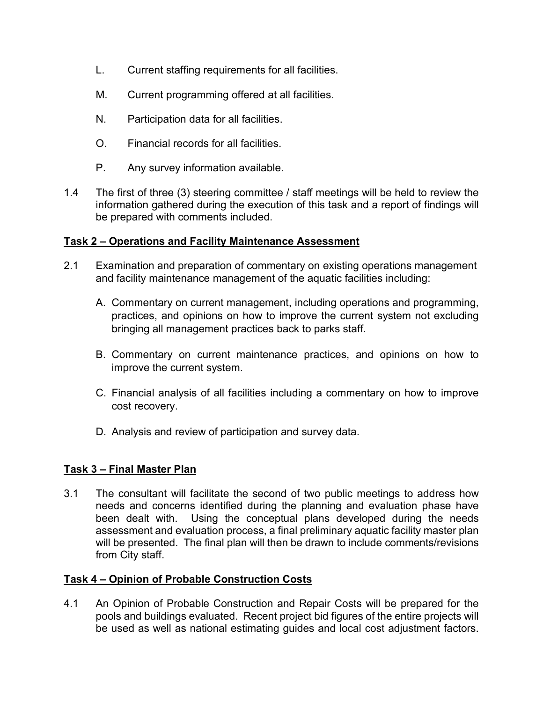- L. Current staffing requirements for all facilities.
- M. Current programming offered at all facilities.
- N. Participation data for all facilities.
- O. Financial records for all facilities.
- P. Any survey information available.
- 1.4 The first of three (3) steering committee / staff meetings will be held to review the information gathered during the execution of this task and a report of findings will be prepared with comments included.

## **Task 2 – Operations and Facility Maintenance Assessment**

- 2.1 Examination and preparation of commentary on existing operations management and facility maintenance management of the aquatic facilities including:
	- A. Commentary on current management, including operations and programming, practices, and opinions on how to improve the current system not excluding bringing all management practices back to parks staff.
	- B. Commentary on current maintenance practices, and opinions on how to improve the current system.
	- C. Financial analysis of all facilities including a commentary on how to improve cost recovery.
	- D. Analysis and review of participation and survey data.

## **Task 3 – Final Master Plan**

3.1 The consultant will facilitate the second of two public meetings to address how needs and concerns identified during the planning and evaluation phase have been dealt with. Using the conceptual plans developed during the needs assessment and evaluation process, a final preliminary aquatic facility master plan will be presented. The final plan will then be drawn to include comments/revisions from City staff.

## **Task 4 – Opinion of Probable Construction Costs**

4.1 An Opinion of Probable Construction and Repair Costs will be prepared for the pools and buildings evaluated. Recent project bid figures of the entire projects will be used as well as national estimating guides and local cost adjustment factors.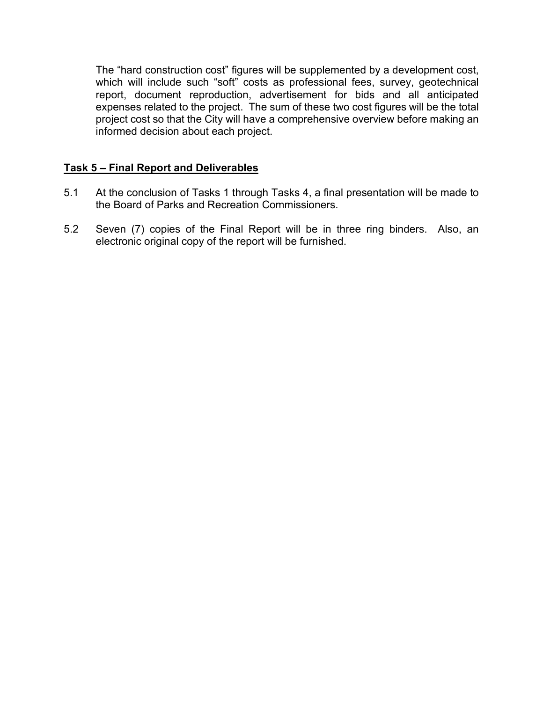The "hard construction cost" figures will be supplemented by a development cost, which will include such "soft" costs as professional fees, survey, geotechnical report, document reproduction, advertisement for bids and all anticipated expenses related to the project. The sum of these two cost figures will be the total project cost so that the City will have a comprehensive overview before making an informed decision about each project.

## **Task 5 – Final Report and Deliverables**

- 5.1 At the conclusion of Tasks 1 through Tasks 4, a final presentation will be made to the Board of Parks and Recreation Commissioners.
- 5.2 Seven (7) copies of the Final Report will be in three ring binders. Also, an electronic original copy of the report will be furnished.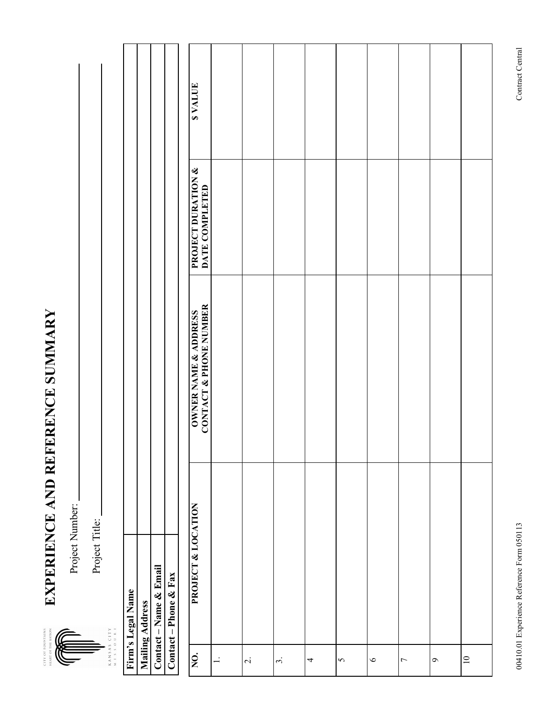**EXPERIENCE AND REFERENCE SUMMARY**  EXPERIENCE AND REFERENCE SUMMARY **CITY OF FOURTHAIRS** 



Project Title: Project Title:

Contact - Name & Email **Contact – Name & Email**  Contact – Phone & Fax **Contact – Phone & Fax**  Firm's Legal Name **Firm's Legal Name Mailing Address Mailing Address**  ANSAS CITY<br>ISSOURI

| <b>SVALUE</b>                                              |                |                          |           |   |          |         |                |                    |          |
|------------------------------------------------------------|----------------|--------------------------|-----------|---|----------|---------|----------------|--------------------|----------|
| <b>PROJECT DURATION &amp;<br/>DATE COMPLETED</b>           |                |                          |           |   |          |         |                |                    |          |
| <b>NATHER ANDRESS SERVICES</b><br>CONTACT & HIONE MONDRESS |                |                          |           |   |          |         |                |                    |          |
| PROJECT & LOCATION                                         |                |                          |           |   |          |         |                |                    |          |
| NO.                                                        | $\overline{a}$ | $\overline{\mathcal{N}}$ | $\dot{3}$ | 4 | $\sigma$ | $\circ$ | $\overline{C}$ | $\mathbf{\hat{c}}$ | $\equiv$ |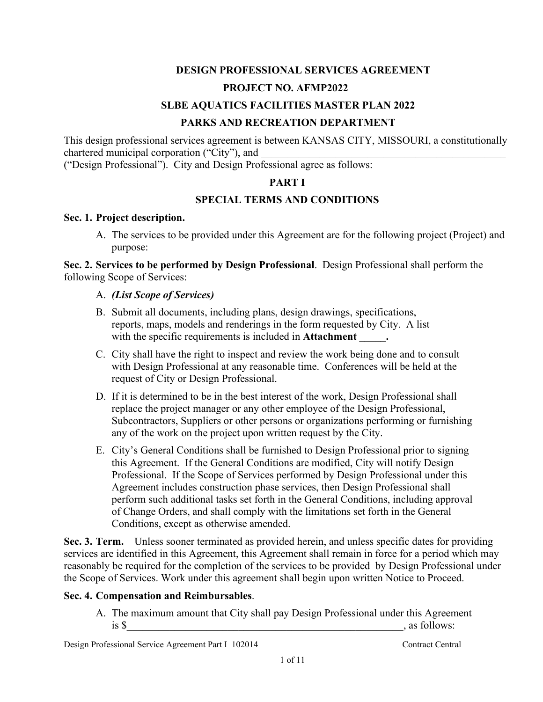## **DESIGN PROFESSIONAL SERVICES AGREEMENT PROJECT NO. AFMP2022**

## **SLBE AQUATICS FACILITIES MASTER PLAN 2022**

## **PARKS AND RECREATION DEPARTMENT**

This design professional services agreement is between KANSAS CITY, MISSOURI, a constitutionally chartered municipal corporation ("City"), and

("Design Professional"). City and Design Professional agree as follows:

## **PART I**

## **SPECIAL TERMS AND CONDITIONS**

### **Sec. 1. Project description.**

A. The services to be provided under this Agreement are for the following project (Project) and purpose:

**Sec. 2. Services to be performed by Design Professional**. Design Professional shall perform the following Scope of Services:

## A. *(List Scope of Services)*

- B. Submit all documents, including plans, design drawings, specifications, reports, maps, models and renderings in the form requested by City. A list with the specific requirements is included in **Attachment**  $\cdot$
- C. City shall have the right to inspect and review the work being done and to consult with Design Professional at any reasonable time. Conferences will be held at the request of City or Design Professional.
- D. If it is determined to be in the best interest of the work, Design Professional shall replace the project manager or any other employee of the Design Professional, Subcontractors, Suppliers or other persons or organizations performing or furnishing any of the work on the project upon written request by the City.
- E. City's General Conditions shall be furnished to Design Professional prior to signing this Agreement. If the General Conditions are modified, City will notify Design Professional. If the Scope of Services performed by Design Professional under this Agreement includes construction phase services, then Design Professional shall perform such additional tasks set forth in the General Conditions, including approval of Change Orders, and shall comply with the limitations set forth in the General Conditions, except as otherwise amended.

**Sec. 3. Term.** Unless sooner terminated as provided herein, and unless specific dates for providing services are identified in this Agreement, this Agreement shall remain in force for a period which may reasonably be required for the completion of the services to be provided by Design Professional under the Scope of Services. Work under this agreement shall begin upon written Notice to Proceed.

## **Sec. 4. Compensation and Reimbursables**.

A. The maximum amount that City shall pay Design Professional under this Agreement  $\frac{1}{18}$  \$  $\frac{1}{18}$  \$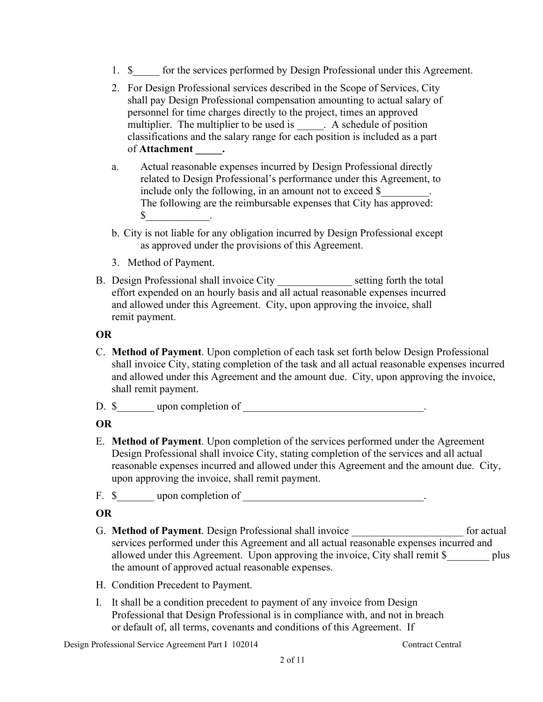- 1. \$ for the services performed by Design Professional under this Agreement.
- 2. For Design Professional services described in the Scope of Services, City shall pay Design Professional compensation amounting to actual salary of personnel for time charges directly to the project, times an approved multiplier. The multiplier to be used is \_\_\_\_\_. A schedule of position classifications and the salary range for each position is included as a part of **Attachment \_\_\_\_\_.**
- a. Actual reasonable expenses incurred by Design Professional directly related to Design Professional's performance under this Agreement, to include only the following, in an amount not to exceed \$ The following are the reimbursable expenses that City has approved:  $\begin{array}{ccc} \text{\$} & \text{\$} \end{array}$ .
- b. City is not liable for any obligation incurred by Design Professional except as approved under the provisions of this Agreement.
- 3. Method of Payment.
- B. Design Professional shall invoice City \_\_\_\_\_\_\_\_\_\_\_\_\_\_\_\_ setting forth the total effort expended on an hourly basis and all actual reasonable expenses incurred and allowed under this Agreement. City, upon approving the invoice, shall remit payment.

## **OR**

- C. **Method of Payment**. Upon completion of each task set forth below Design Professional shall invoice City, stating completion of the task and all actual reasonable expenses incurred and allowed under this Agreement and the amount due. City, upon approving the invoice, shall remit payment.
- D. \$ upon completion of .

## **OR**

E. **Method of Payment**. Upon completion of the services performed under the Agreement Design Professional shall invoice City, stating completion of the services and all actual reasonable expenses incurred and allowed under this Agreement and the amount due. City, upon approving the invoice, shall remit payment.

F. \$\_\_\_\_\_\_\_ upon completion of \_\_\_\_\_\_\_\_\_\_\_\_\_\_\_\_\_\_\_\_\_\_\_\_\_\_\_\_\_\_\_\_\_\_.

## **OR**

- G. Method of Payment. Design Professional shall invoice for actual services performed under this Agreement and all actual reasonable expenses incurred and allowed under this Agreement. Upon approving the invoice, City shall remit \$ plus the amount of approved actual reasonable expenses.
- H. Condition Precedent to Payment.
- I. It shall be a condition precedent to payment of any invoice from Design Professional that Design Professional is in compliance with, and not in breach or default of, all terms, covenants and conditions of this Agreement. If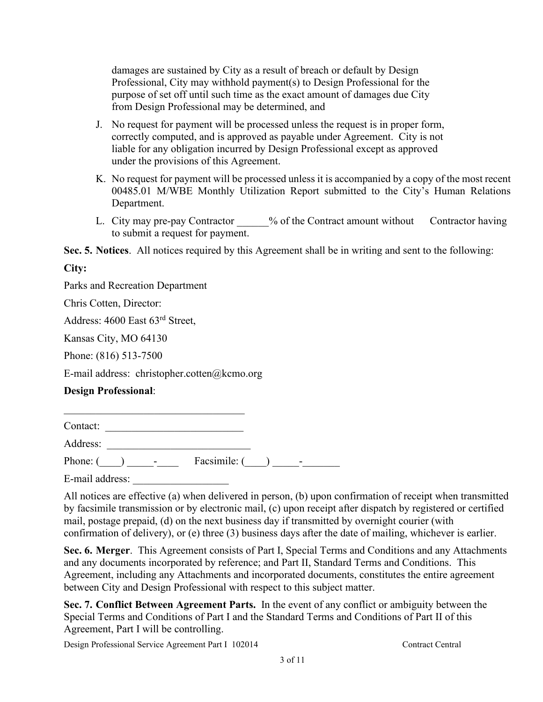damages are sustained by City as a result of breach or default by Design Professional, City may withhold payment(s) to Design Professional for the purpose of set off until such time as the exact amount of damages due City from Design Professional may be determined, and

- J. No request for payment will be processed unless the request is in proper form, correctly computed, and is approved as payable under Agreement. City is not liable for any obligation incurred by Design Professional except as approved under the provisions of this Agreement.
- K. No request for payment will be processed unless it is accompanied by a copy of the most recent 00485.01 M/WBE Monthly Utilization Report submitted to the City's Human Relations Department.
- L. City may pre-pay Contractor  $\%$  of the Contract amount without Contractor having to submit a request for payment.

**Sec. 5. Notices**. All notices required by this Agreement shall be in writing and sent to the following:

**City:**

Parks and Recreation Department

Chris Cotten, Director:

Address: 4600 East 63rd Street,

Kansas City, MO 64130

Phone: (816) 513-7500

E-mail address: christopher.cotten@kcmo.org

## **Design Professional**:

Contact: Address: \_\_\_\_\_\_\_\_\_\_\_\_\_\_\_\_\_\_\_\_\_\_\_\_\_\_\_

Phone:  $(\_\_\_\_\_\_$  Facsimile:  $(\_\_\_\_\_\_$ 

E-mail address:

All notices are effective (a) when delivered in person, (b) upon confirmation of receipt when transmitted by facsimile transmission or by electronic mail, (c) upon receipt after dispatch by registered or certified mail, postage prepaid, (d) on the next business day if transmitted by overnight courier (with confirmation of delivery), or (e) three (3) business days after the date of mailing, whichever is earlier.

**Sec. 6. Merger**. This Agreement consists of Part I, Special Terms and Conditions and any Attachments and any documents incorporated by reference; and Part II, Standard Terms and Conditions. This Agreement, including any Attachments and incorporated documents, constitutes the entire agreement between City and Design Professional with respect to this subject matter.

**Sec. 7. Conflict Between Agreement Parts.** In the event of any conflict or ambiguity between the Special Terms and Conditions of Part I and the Standard Terms and Conditions of Part II of this Agreement, Part I will be controlling.

Design Professional Service Agreement Part I 102014 Contract Central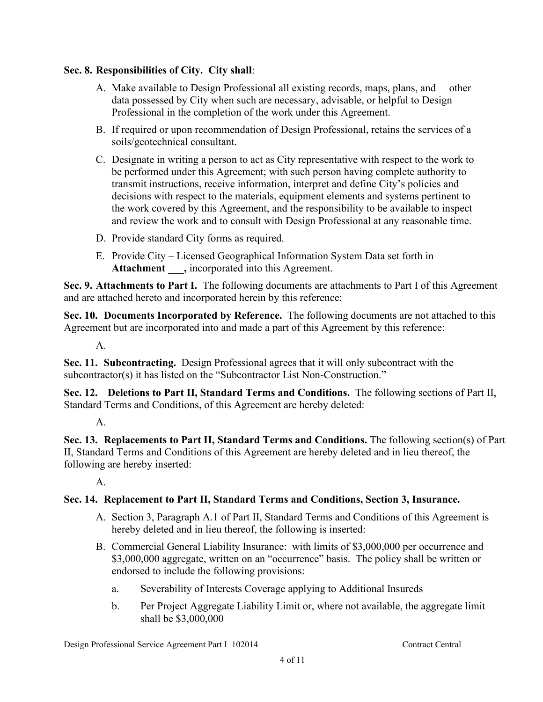## **Sec. 8. Responsibilities of City. City shall**:

- A. Make available to Design Professional all existing records, maps, plans, and other data possessed by City when such are necessary, advisable, or helpful to Design Professional in the completion of the work under this Agreement.
- B. If required or upon recommendation of Design Professional, retains the services of a soils/geotechnical consultant.
- C. Designate in writing a person to act as City representative with respect to the work to be performed under this Agreement; with such person having complete authority to transmit instructions, receive information, interpret and define City's policies and decisions with respect to the materials, equipment elements and systems pertinent to the work covered by this Agreement, and the responsibility to be available to inspect and review the work and to consult with Design Professional at any reasonable time.
- D. Provide standard City forms as required.
- E. Provide City Licensed Geographical Information System Data set forth in Attachment, incorporated into this Agreement.

**Sec. 9. Attachments to Part I.** The following documents are attachments to Part I of this Agreement and are attached hereto and incorporated herein by this reference:

**Sec. 10. Documents Incorporated by Reference.** The following documents are not attached to this Agreement but are incorporated into and made a part of this Agreement by this reference:

A.

**Sec. 11. Subcontracting.** Design Professional agrees that it will only subcontract with the subcontractor(s) it has listed on the "Subcontractor List Non-Construction."

**Sec. 12. Deletions to Part II, Standard Terms and Conditions.** The following sections of Part II, Standard Terms and Conditions, of this Agreement are hereby deleted:

A.

**Sec. 13. Replacements to Part II, Standard Terms and Conditions.** The following section(s) of Part II, Standard Terms and Conditions of this Agreement are hereby deleted and in lieu thereof, the following are hereby inserted:

A.

## **Sec. 14. Replacement to Part II, Standard Terms and Conditions, Section 3, Insurance.**

- A. Section 3, Paragraph A.1 of Part II, Standard Terms and Conditions of this Agreement is hereby deleted and in lieu thereof, the following is inserted:
- B. Commercial General Liability Insurance: with limits of \$3,000,000 per occurrence and \$3,000,000 aggregate, written on an "occurrence" basis. The policy shall be written or endorsed to include the following provisions:
	- a. Severability of Interests Coverage applying to Additional Insureds
	- b. Per Project Aggregate Liability Limit or, where not available, the aggregate limit shall be \$3,000,000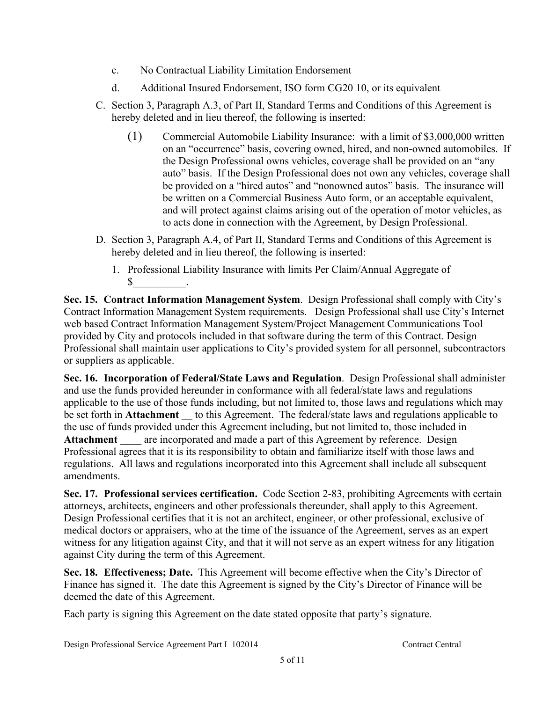- c. No Contractual Liability Limitation Endorsement
- d. Additional Insured Endorsement, ISO form CG20 10, or its equivalent
- C. Section 3, Paragraph A.3, of Part II, Standard Terms and Conditions of this Agreement is hereby deleted and in lieu thereof, the following is inserted:
	- (1) Commercial Automobile Liability Insurance: with a limit of \$3,000,000 written on an "occurrence" basis, covering owned, hired, and non-owned automobiles. If the Design Professional owns vehicles, coverage shall be provided on an "any auto" basis. If the Design Professional does not own any vehicles, coverage shall be provided on a "hired autos" and "nonowned autos" basis. The insurance will be written on a Commercial Business Auto form, or an acceptable equivalent, and will protect against claims arising out of the operation of motor vehicles, as to acts done in connection with the Agreement, by Design Professional.
- D. Section 3, Paragraph A.4, of Part II, Standard Terms and Conditions of this Agreement is hereby deleted and in lieu thereof, the following is inserted:
	- 1. Professional Liability Insurance with limits Per Claim/Annual Aggregate of  $\mathbb{S}$

**Sec. 15. Contract Information Management System**. Design Professional shall comply with City's Contract Information Management System requirements. Design Professional shall use City's Internet web based Contract Information Management System/Project Management Communications Tool provided by City and protocols included in that software during the term of this Contract. Design Professional shall maintain user applications to City's provided system for all personnel, subcontractors or suppliers as applicable.

**Sec. 16. Incorporation of Federal/State Laws and Regulation**. Design Professional shall administer and use the funds provided hereunder in conformance with all federal/state laws and regulations applicable to the use of those funds including, but not limited to, those laws and regulations which may be set forth in **Attachment** to this Agreement. The federal/state laws and regulations applicable to the use of funds provided under this Agreement including, but not limited to, those included in Attachment are incorporated and made a part of this Agreement by reference. Design Professional agrees that it is its responsibility to obtain and familiarize itself with those laws and regulations. All laws and regulations incorporated into this Agreement shall include all subsequent amendments.

**Sec. 17. Professional services certification.** Code Section 2-83, prohibiting Agreements with certain attorneys, architects, engineers and other professionals thereunder, shall apply to this Agreement. Design Professional certifies that it is not an architect, engineer, or other professional, exclusive of medical doctors or appraisers, who at the time of the issuance of the Agreement, serves as an expert witness for any litigation against City, and that it will not serve as an expert witness for any litigation against City during the term of this Agreement.

**Sec. 18. Effectiveness; Date.** This Agreement will become effective when the City's Director of Finance has signed it. The date this Agreement is signed by the City's Director of Finance will be deemed the date of this Agreement.

Each party is signing this Agreement on the date stated opposite that party's signature.

Design Professional Service Agreement Part I 102014 Contract Central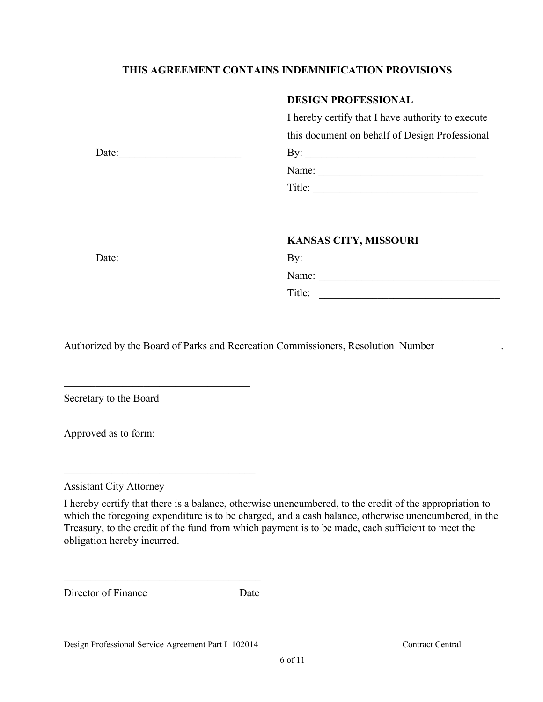## **THIS AGREEMENT CONTAINS INDEMNIFICATION PROVISIONS**

### **DESIGN PROFESSIONAL**

I hereby certify that I have authority to execute this document on behalf of Design Professional

|--|

| Nar<br>vame:<br>◡. |  |  |  |
|--------------------|--|--|--|
|                    |  |  |  |

Title: \_\_\_\_\_\_\_\_\_\_\_\_\_\_\_\_\_\_\_\_\_\_\_\_\_\_\_\_\_\_\_

# **KANSAS CITY, MISSOURI**

| By:    |  |
|--------|--|
| Name:  |  |
| Title: |  |

Authorized by the Board of Parks and Recreation Commissioners, Resolution Number .

Secretary to the Board

Date:

Date:

 $\mathcal{L}_\mathcal{L}$  , where  $\mathcal{L}_\mathcal{L}$  , we are the set of the set of the set of the set of the set of the set of the set of the set of the set of the set of the set of the set of the set of the set of the set of the set o

 $\mathcal{L}_\mathcal{L}$  , which is a set of the set of the set of the set of the set of the set of the set of the set of the set of the set of the set of the set of the set of the set of the set of the set of the set of the set of

Approved as to form:

Assistant City Attorney

I hereby certify that there is a balance, otherwise unencumbered, to the credit of the appropriation to which the foregoing expenditure is to be charged, and a cash balance, otherwise unencumbered, in the Treasury, to the credit of the fund from which payment is to be made, each sufficient to meet the obligation hereby incurred.

| Director of Finance | Date |
|---------------------|------|
|                     |      |

\_\_\_\_\_\_\_\_\_\_\_\_\_\_\_\_\_\_\_\_\_\_\_\_\_\_\_\_\_\_\_\_\_\_\_\_\_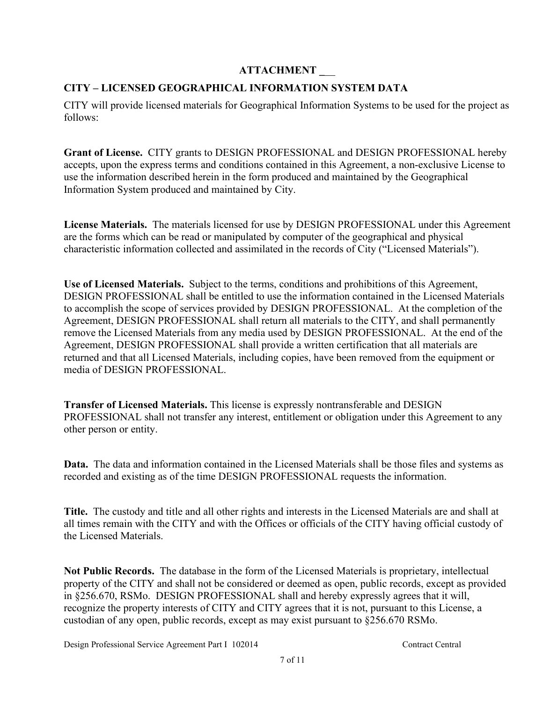## **ATTACHMENT \_**\_\_

## **CITY – LICENSED GEOGRAPHICAL INFORMATION SYSTEM DATA**

CITY will provide licensed materials for Geographical Information Systems to be used for the project as follows:

**Grant of License.** CITY grants to DESIGN PROFESSIONAL and DESIGN PROFESSIONAL hereby accepts, upon the express terms and conditions contained in this Agreement, a non-exclusive License to use the information described herein in the form produced and maintained by the Geographical Information System produced and maintained by City.

**License Materials.** The materials licensed for use by DESIGN PROFESSIONAL under this Agreement are the forms which can be read or manipulated by computer of the geographical and physical characteristic information collected and assimilated in the records of City ("Licensed Materials").

**Use of Licensed Materials.** Subject to the terms, conditions and prohibitions of this Agreement, DESIGN PROFESSIONAL shall be entitled to use the information contained in the Licensed Materials to accomplish the scope of services provided by DESIGN PROFESSIONAL. At the completion of the Agreement, DESIGN PROFESSIONAL shall return all materials to the CITY, and shall permanently remove the Licensed Materials from any media used by DESIGN PROFESSIONAL. At the end of the Agreement, DESIGN PROFESSIONAL shall provide a written certification that all materials are returned and that all Licensed Materials, including copies, have been removed from the equipment or media of DESIGN PROFESSIONAL.

**Transfer of Licensed Materials.** This license is expressly nontransferable and DESIGN PROFESSIONAL shall not transfer any interest, entitlement or obligation under this Agreement to any other person or entity.

**Data.** The data and information contained in the Licensed Materials shall be those files and systems as recorded and existing as of the time DESIGN PROFESSIONAL requests the information.

**Title.** The custody and title and all other rights and interests in the Licensed Materials are and shall at all times remain with the CITY and with the Offices or officials of the CITY having official custody of the Licensed Materials.

**Not Public Records.** The database in the form of the Licensed Materials is proprietary, intellectual property of the CITY and shall not be considered or deemed as open, public records, except as provided in §256.670, RSMo. DESIGN PROFESSIONAL shall and hereby expressly agrees that it will, recognize the property interests of CITY and CITY agrees that it is not, pursuant to this License, a custodian of any open, public records, except as may exist pursuant to §256.670 RSMo.

Design Professional Service Agreement Part I 102014 Contract Central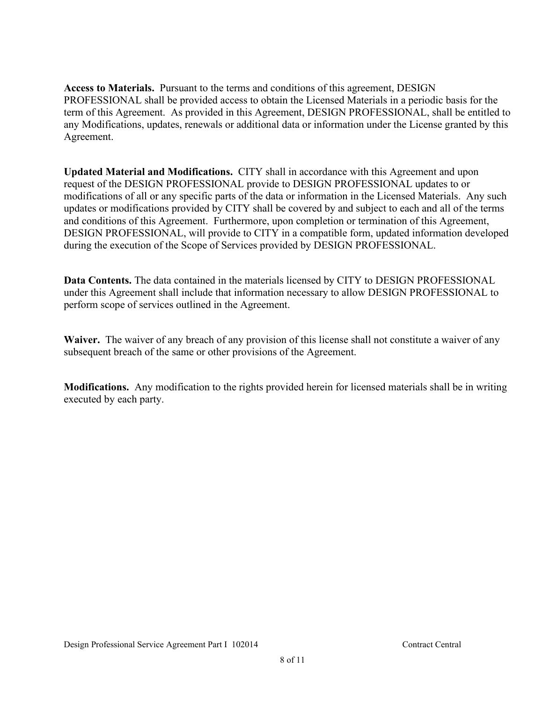**Access to Materials.** Pursuant to the terms and conditions of this agreement, DESIGN PROFESSIONAL shall be provided access to obtain the Licensed Materials in a periodic basis for the term of this Agreement. As provided in this Agreement, DESIGN PROFESSIONAL, shall be entitled to any Modifications, updates, renewals or additional data or information under the License granted by this Agreement.

**Updated Material and Modifications.** CITY shall in accordance with this Agreement and upon request of the DESIGN PROFESSIONAL provide to DESIGN PROFESSIONAL updates to or modifications of all or any specific parts of the data or information in the Licensed Materials. Any such updates or modifications provided by CITY shall be covered by and subject to each and all of the terms and conditions of this Agreement. Furthermore, upon completion or termination of this Agreement, DESIGN PROFESSIONAL, will provide to CITY in a compatible form, updated information developed during the execution of the Scope of Services provided by DESIGN PROFESSIONAL.

**Data Contents.** The data contained in the materials licensed by CITY to DESIGN PROFESSIONAL under this Agreement shall include that information necessary to allow DESIGN PROFESSIONAL to perform scope of services outlined in the Agreement.

**Waiver.** The waiver of any breach of any provision of this license shall not constitute a waiver of any subsequent breach of the same or other provisions of the Agreement.

**Modifications.** Any modification to the rights provided herein for licensed materials shall be in writing executed by each party.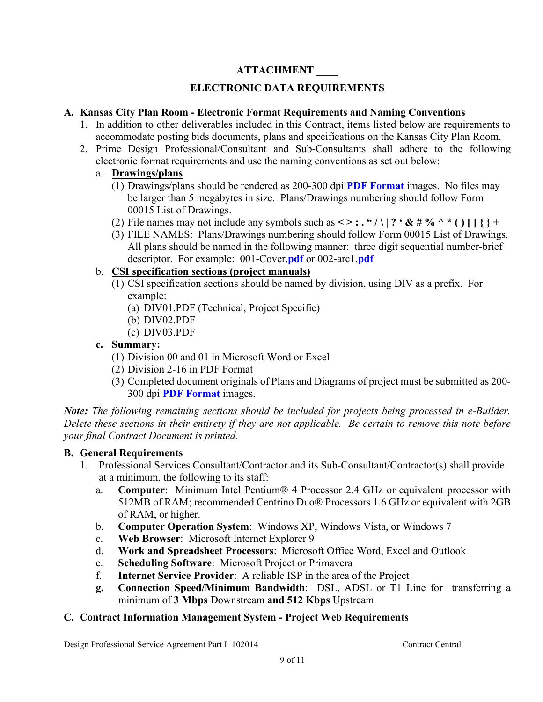## **ATTACHMENT \_\_\_\_**

## **ELECTRONIC DATA REQUIREMENTS**

## **A. Kansas City Plan Room - Electronic Format Requirements and Naming Conventions**

- 1. In addition to other deliverables included in this Contract, items listed below are requirements to accommodate posting bids documents, plans and specifications on the Kansas City Plan Room.
- 2. Prime Design Professional/Consultant and Sub-Consultants shall adhere to the following electronic format requirements and use the naming conventions as set out below:
	- a. **Drawings/plans**
		- (1) Drawings/plans should be rendered as 200-300 dpi **PDF Format** images. No files may be larger than 5 megabytes in size. Plans/Drawings numbering should follow Form 00015 List of Drawings.
		- (2) File names may not include any symbols such as  $\leq \cdot : \cdot$  " $\setminus$  | ?  $\cdot \& \neq \cdot$  " $\setminus$  |  $\setminus$   $\setminus$  +
		- (3) FILE NAMES: Plans/Drawings numbering should follow Form 00015 List of Drawings. All plans should be named in the following manner: three digit sequential number-brief descriptor. For example: 001-Cover.**pdf** or 002-arc1.**pdf**

## b. **CSI specification sections (project manuals)**

- (1) CSI specification sections should be named by division, using DIV as a prefix. For example:
	- (a) DIV01.PDF (Technical, Project Specific)
	- (b) DIV02.PDF
	- (c) DIV03.PDF

## **c. Summary:**

- (1) Division 00 and 01 in Microsoft Word or Excel
- (2) Division 2-16 in PDF Format
- (3) Completed document originals of Plans and Diagrams of project must be submitted as 200- 300 dpi **PDF Format** images.

*Note: The following remaining sections should be included for projects being processed in e-Builder. Delete these sections in their entirety if they are not applicable. Be certain to remove this note before your final Contract Document is printed.*

## **B. General Requirements**

- 1. Professional Services Consultant/Contractor and its Sub-Consultant/Contractor(s) shall provide at a minimum, the following to its staff:
	- a. **Computer**: Minimum Intel Pentium® 4 Processor 2.4 GHz or equivalent processor with 512MB of RAM; recommended Centrino Duo® Processors 1.6 GHz or equivalent with 2GB of RAM, or higher.
	- b. **Computer Operation System**: Windows XP, Windows Vista, or Windows 7
	- c. **Web Browser**: Microsoft Internet Explorer 9
	- d. **Work and Spreadsheet Processors**: Microsoft Office Word, Excel and Outlook
	- e. **Scheduling Software**: Microsoft Project or Primavera
	- f. **Internet Service Provider**: A reliable ISP in the area of the Project
	- **g. Connection Speed/Minimum Bandwidth**: DSL, ADSL or T1 Line for transferring a minimum of **3 Mbps** Downstream **and 512 Kbps** Upstream

## **C. Contract Information Management System - Project Web Requirements**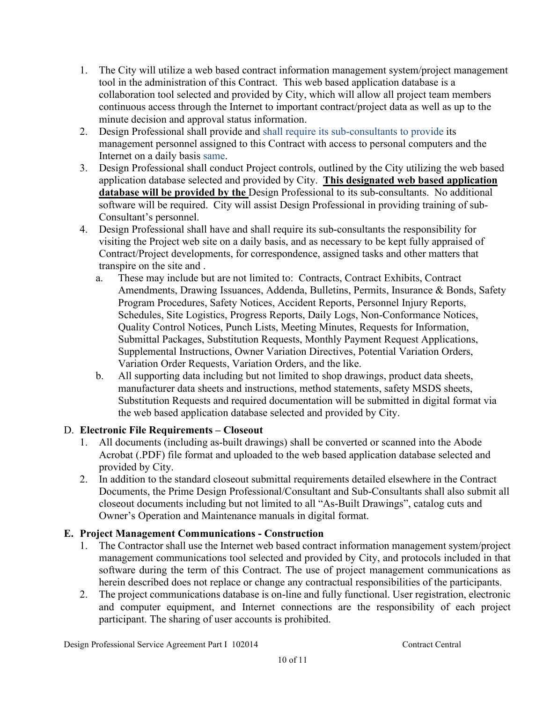- 1. The City will utilize a web based contract information management system/project management tool in the administration of this Contract. This web based application database is a collaboration tool selected and provided by City, which will allow all project team members continuous access through the Internet to important contract/project data as well as up to the minute decision and approval status information.
- 2. Design Professional shall provide and shall require its sub-consultants to provide its management personnel assigned to this Contract with access to personal computers and the Internet on a daily basis same.
- 3. Design Professional shall conduct Project controls, outlined by the City utilizing the web based application database selected and provided by City. **This designated web based application database will be provided by the** Design Professional to its sub-consultants. No additional software will be required. City will assist Design Professional in providing training of sub-Consultant's personnel.
- 4. Design Professional shall have and shall require its sub-consultants the responsibility for visiting the Project web site on a daily basis, and as necessary to be kept fully appraised of Contract/Project developments, for correspondence, assigned tasks and other matters that transpire on the site and .
	- a. These may include but are not limited to: Contracts, Contract Exhibits, Contract Amendments, Drawing Issuances, Addenda, Bulletins, Permits, Insurance & Bonds, Safety Program Procedures, Safety Notices, Accident Reports, Personnel Injury Reports, Schedules, Site Logistics, Progress Reports, Daily Logs, Non-Conformance Notices, Quality Control Notices, Punch Lists, Meeting Minutes, Requests for Information, Submittal Packages, Substitution Requests, Monthly Payment Request Applications, Supplemental Instructions, Owner Variation Directives, Potential Variation Orders, Variation Order Requests, Variation Orders, and the like.
	- b. All supporting data including but not limited to shop drawings, product data sheets, manufacturer data sheets and instructions, method statements, safety MSDS sheets, Substitution Requests and required documentation will be submitted in digital format via the web based application database selected and provided by City.

## D. **Electronic File Requirements – Closeout**

- 1. All documents (including as-built drawings) shall be converted or scanned into the Abode Acrobat (.PDF) file format and uploaded to the web based application database selected and provided by City.
- 2. In addition to the standard closeout submittal requirements detailed elsewhere in the Contract Documents, the Prime Design Professional/Consultant and Sub-Consultants shall also submit all closeout documents including but not limited to all "As-Built Drawings", catalog cuts and Owner's Operation and Maintenance manuals in digital format.

## **E. Project Management Communications - Construction**

- 1. The Contractor shall use the Internet web based contract information management system/project management communications tool selected and provided by City, and protocols included in that software during the term of this Contract. The use of project management communications as herein described does not replace or change any contractual responsibilities of the participants.
- 2. The project communications database is on-line and fully functional. User registration, electronic and computer equipment, and Internet connections are the responsibility of each project participant. The sharing of user accounts is prohibited.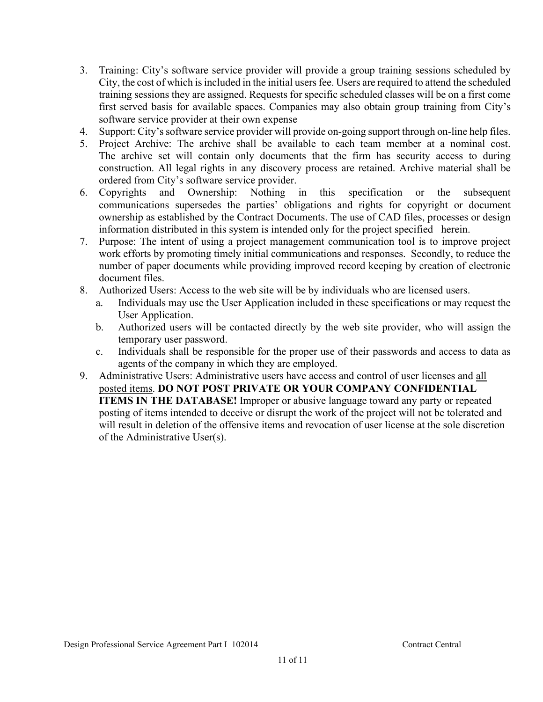- 3. Training: City's software service provider will provide a group training sessions scheduled by City, the cost of which is included in the initial users fee. Users are required to attend the scheduled training sessions they are assigned. Requests for specific scheduled classes will be on a first come first served basis for available spaces. Companies may also obtain group training from City's software service provider at their own expense
- 4. Support: City's software service provider will provide on-going support through on-line help files.
- 5. Project Archive: The archive shall be available to each team member at a nominal cost. The archive set will contain only documents that the firm has security access to during construction. All legal rights in any discovery process are retained. Archive material shall be ordered from City's software service provider.
- 6. Copyrights and Ownership: Nothing in this specification or the subsequent communications supersedes the parties' obligations and rights for copyright or document ownership as established by the Contract Documents. The use of CAD files, processes or design information distributed in this system is intended only for the project specified herein.
- 7. Purpose: The intent of using a project management communication tool is to improve project work efforts by promoting timely initial communications and responses. Secondly, to reduce the number of paper documents while providing improved record keeping by creation of electronic document files.
- 8. Authorized Users: Access to the web site will be by individuals who are licensed users.
	- a. Individuals may use the User Application included in these specifications or may request the User Application.
	- b. Authorized users will be contacted directly by the web site provider, who will assign the temporary user password.
	- c. Individuals shall be responsible for the proper use of their passwords and access to data as agents of the company in which they are employed.
- 9. Administrative Users: Administrative users have access and control of user licenses and all posted items. **DO NOT POST PRIVATE OR YOUR COMPANY CONFIDENTIAL ITEMS IN THE DATABASE!** Improper or abusive language toward any party or repeated posting of items intended to deceive or disrupt the work of the project will not be tolerated and will result in deletion of the offensive items and revocation of user license at the sole discretion of the Administrative User(s).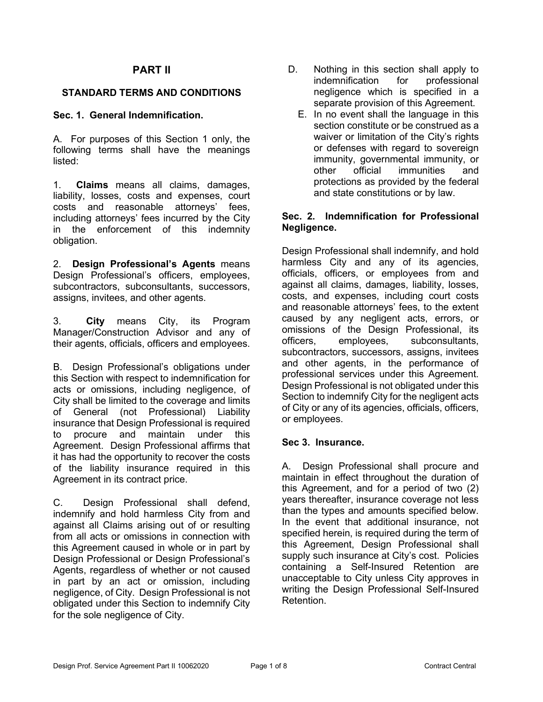### **PART II**

### **STANDARD TERMS AND CONDITIONS**

### **Sec. 1. General Indemnification.**

A. For purposes of this Section 1 only, the following terms shall have the meanings listed:

1. **Claims** means all claims, damages, liability, losses, costs and expenses, court costs and reasonable attorneys' fees, including attorneys' fees incurred by the City in the enforcement of this indemnity obligation.

2. **Design Professional's Agents** means Design Professional's officers, employees, subcontractors, subconsultants, successors, assigns, invitees, and other agents.

3. **City** means City, its Program Manager/Construction Advisor and any of their agents, officials, officers and employees.

B. Design Professional's obligations under this Section with respect to indemnification for acts or omissions, including negligence, of City shall be limited to the coverage and limits of General (not Professional) Liability insurance that Design Professional is required to procure and maintain under this Agreement. Design Professional affirms that it has had the opportunity to recover the costs of the liability insurance required in this Agreement in its contract price.

C. Design Professional shall defend, indemnify and hold harmless City from and against all Claims arising out of or resulting from all acts or omissions in connection with this Agreement caused in whole or in part by Design Professional or Design Professional's Agents, regardless of whether or not caused in part by an act or omission, including negligence, of City. Design Professional is not obligated under this Section to indemnify City for the sole negligence of City.

- D. Nothing in this section shall apply to indemnification for professional negligence which is specified in a separate provision of this Agreement.
	- E. In no event shall the language in this section constitute or be construed as a waiver or limitation of the City's rights or defenses with regard to sovereign immunity, governmental immunity, or other official immunities and protections as provided by the federal and state constitutions or by law.

#### **Sec. 2. Indemnification for Professional Negligence.**

Design Professional shall indemnify, and hold harmless City and any of its agencies, officials, officers, or employees from and against all claims, damages, liability, losses, costs, and expenses, including court costs and reasonable attorneys' fees, to the extent caused by any negligent acts, errors, or omissions of the Design Professional, its officers, employees, subconsultants, subcontractors, successors, assigns, invitees and other agents, in the performance of professional services under this Agreement. Design Professional is not obligated under this Section to indemnify City for the negligent acts of City or any of its agencies, officials, officers, or employees.

### **Sec 3. Insurance.**

A. Design Professional shall procure and maintain in effect throughout the duration of this Agreement, and for a period of two (2) years thereafter, insurance coverage not less than the types and amounts specified below. In the event that additional insurance, not specified herein, is required during the term of this Agreement, Design Professional shall supply such insurance at City's cost. Policies containing a Self-Insured Retention are unacceptable to City unless City approves in writing the Design Professional Self-Insured Retention.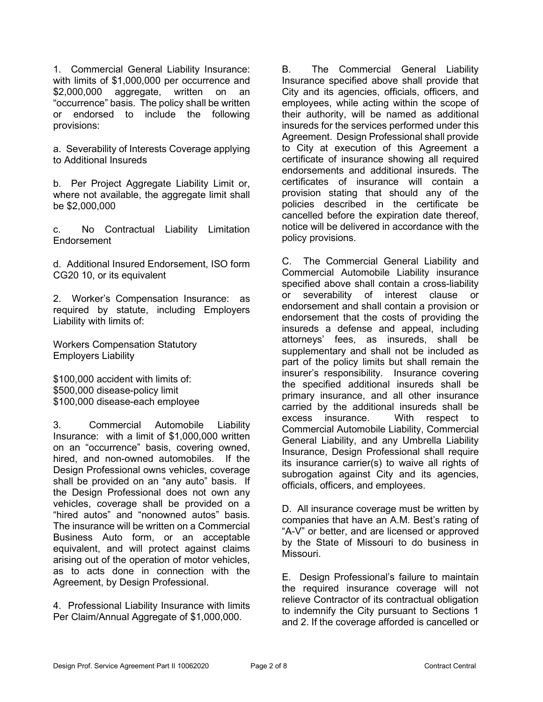1. Commercial General Liability Insurance: with limits of \$1,000,000 per occurrence and \$2,000,000 aggregate, written on an "occurrence" basis. The policy shall be written or endorsed to include the following provisions:

a. Severability of Interests Coverage applying to Additional Insureds

b. Per Project Aggregate Liability Limit or, where not available, the aggregate limit shall be \$2,000,000

c. No Contractual Liability Limitation Endorsement

d. Additional Insured Endorsement, ISO form CG20 10, or its equivalent

2. Worker's Compensation Insurance: as required by statute, including Employers Liability with limits of:

Workers Compensation Statutory Employers Liability

\$100,000 accident with limits of: \$500,000 disease-policy limit \$100,000 disease-each employee

3. Commercial Automobile Liability Insurance: with a limit of \$1,000,000 written on an "occurrence" basis, covering owned, hired, and non-owned automobiles. If the Design Professional owns vehicles, coverage shall be provided on an "any auto" basis. If the Design Professional does not own any vehicles, coverage shall be provided on a "hired autos" and "nonowned autos" basis. The insurance will be written on a Commercial Business Auto form, or an acceptable equivalent, and will protect against claims arising out of the operation of motor vehicles, as to acts done in connection with the Agreement, by Design Professional.

4. Professional Liability Insurance with limits Per Claim/Annual Aggregate of \$1,000,000.

B. The Commercial General Liability Insurance specified above shall provide that City and its agencies, officials, officers, and employees, while acting within the scope of their authority, will be named as additional insureds for the services performed under this Agreement. Design Professional shall provide to City at execution of this Agreement a certificate of insurance showing all required endorsements and additional insureds. The certificates of insurance will contain a provision stating that should any of the policies described in the certificate be cancelled before the expiration date thereof, notice will be delivered in accordance with the policy provisions.

C. The Commercial General Liability and Commercial Automobile Liability insurance specified above shall contain a cross-liability or severability of interest clause or endorsement and shall contain a provision or endorsement that the costs of providing the insureds a defense and appeal, including attorneys' fees, as insureds, shall be supplementary and shall not be included as part of the policy limits but shall remain the insurer's responsibility. Insurance covering the specified additional insureds shall be primary insurance, and all other insurance carried by the additional insureds shall be excess insurance. With respect to Commercial Automobile Liability, Commercial General Liability, and any Umbrella Liability Insurance, Design Professional shall require its insurance carrier(s) to waive all rights of subrogation against City and its agencies, officials, officers, and employees.

D. All insurance coverage must be written by companies that have an A.M. Best's rating of "A-V" or better, and are licensed or approved by the State of Missouri to do business in Missouri.

E. Design Professional's failure to maintain the required insurance coverage will not relieve Contractor of its contractual obligation to indemnify the City pursuant to Sections 1 and 2. If the coverage afforded is cancelled or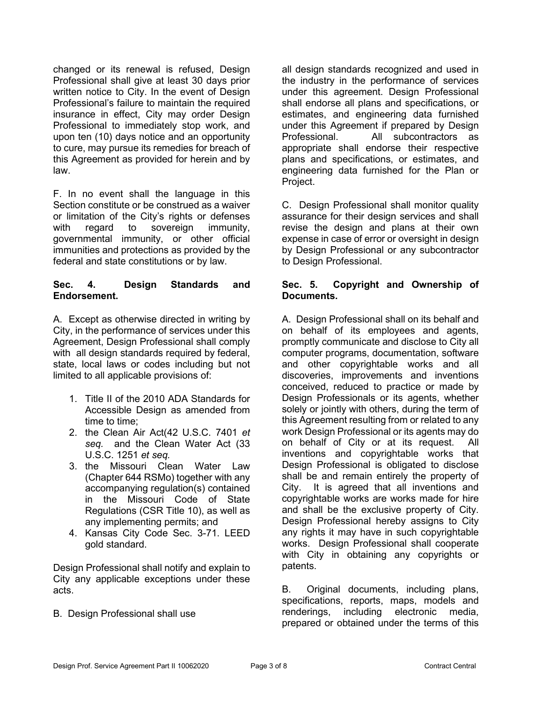changed or its renewal is refused, Design Professional shall give at least 30 days prior written notice to City. In the event of Design Professional's failure to maintain the required insurance in effect, City may order Design Professional to immediately stop work, and upon ten (10) days notice and an opportunity to cure, may pursue its remedies for breach of this Agreement as provided for herein and by law.

F. In no event shall the language in this Section constitute or be construed as a waiver or limitation of the City's rights or defenses with regard to sovereign immunity, governmental immunity, or other official immunities and protections as provided by the federal and state constitutions or by law.

### **Sec. 4. Design Standards and Endorsement.**

A. Except as otherwise directed in writing by City, in the performance of services under this Agreement, Design Professional shall comply with all design standards required by federal. state, local laws or codes including but not limited to all applicable provisions of:

- 1. Title II of the 2010 ADA Standards for Accessible Design as amended from time to time;
- 2. the Clean Air Act(42 U.S.C. 7401 *et seq.* and the Clean Water Act (33 U.S.C. 1251 *et seq.*
- 3. the Missouri Clean Water Law (Chapter 644 RSMo) together with any accompanying regulation(s) contained in the Missouri Code of State Regulations (CSR Title 10), as well as any implementing permits; and
- 4. Kansas City Code Sec. 3-71. LEED gold standard.

Design Professional shall notify and explain to City any applicable exceptions under these acts.

B. Design Professional shall use

all design standards recognized and used in the industry in the performance of services under this agreement. Design Professional shall endorse all plans and specifications, or estimates, and engineering data furnished under this Agreement if prepared by Design Professional. All subcontractors as appropriate shall endorse their respective plans and specifications, or estimates, and engineering data furnished for the Plan or Project.

C. Design Professional shall monitor quality assurance for their design services and shall revise the design and plans at their own expense in case of error or oversight in design by Design Professional or any subcontractor to Design Professional.

#### **Sec. 5. Copyright and Ownership of Documents.**

A. Design Professional shall on its behalf and on behalf of its employees and agents, promptly communicate and disclose to City all computer programs, documentation, software and other copyrightable works and all discoveries, improvements and inventions conceived, reduced to practice or made by Design Professionals or its agents, whether solely or jointly with others, during the term of this Agreement resulting from or related to any work Design Professional or its agents may do on behalf of City or at its request. All inventions and copyrightable works that Design Professional is obligated to disclose shall be and remain entirely the property of City. It is agreed that all inventions and copyrightable works are works made for hire and shall be the exclusive property of City. Design Professional hereby assigns to City any rights it may have in such copyrightable works. Design Professional shall cooperate with City in obtaining any copyrights or patents.

B. Original documents, including plans, specifications, reports, maps, models and renderings, including electronic media, prepared or obtained under the terms of this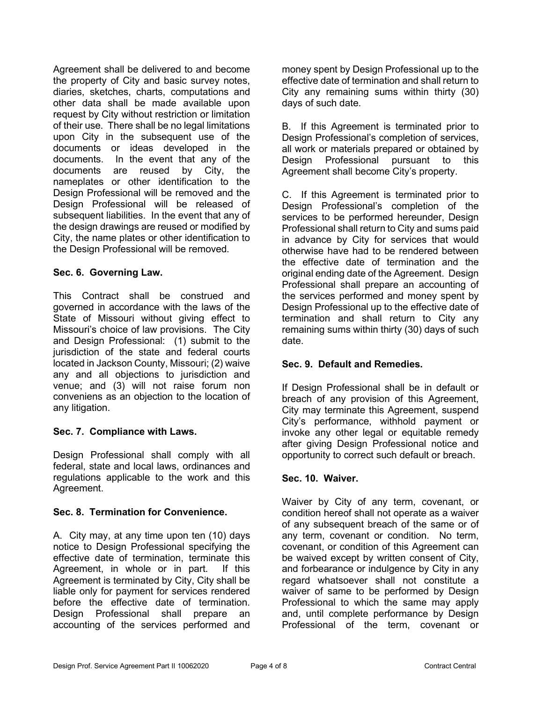Agreement shall be delivered to and become the property of City and basic survey notes, diaries, sketches, charts, computations and other data shall be made available upon request by City without restriction or limitation of their use. There shall be no legal limitations upon City in the subsequent use of the documents or ideas developed in the documents. In the event that any of the documents are reused by City, the nameplates or other identification to the Design Professional will be removed and the Design Professional will be released of subsequent liabilities. In the event that any of the design drawings are reused or modified by City, the name plates or other identification to the Design Professional will be removed.

### **Sec. 6. Governing Law.**

This Contract shall be construed and governed in accordance with the laws of the State of Missouri without giving effect to Missouri's choice of law provisions. The City and Design Professional: (1) submit to the jurisdiction of the state and federal courts located in Jackson County, Missouri; (2) waive any and all objections to jurisdiction and venue; and (3) will not raise forum non conveniens as an objection to the location of any litigation.

## **Sec. 7. Compliance with Laws.**

Design Professional shall comply with all federal, state and local laws, ordinances and regulations applicable to the work and this Agreement.

### **Sec. 8. Termination for Convenience.**

A. City may, at any time upon ten (10) days notice to Design Professional specifying the effective date of termination, terminate this Agreement, in whole or in part. If this Agreement is terminated by City, City shall be liable only for payment for services rendered before the effective date of termination. Design Professional shall prepare an accounting of the services performed and money spent by Design Professional up to the effective date of termination and shall return to City any remaining sums within thirty (30) days of such date.

B. If this Agreement is terminated prior to Design Professional's completion of services, all work or materials prepared or obtained by Design Professional pursuant to this Agreement shall become City's property.

C. If this Agreement is terminated prior to Design Professional's completion of the services to be performed hereunder, Design Professional shall return to City and sums paid in advance by City for services that would otherwise have had to be rendered between the effective date of termination and the original ending date of the Agreement. Design Professional shall prepare an accounting of the services performed and money spent by Design Professional up to the effective date of termination and shall return to City any remaining sums within thirty (30) days of such date.

### **Sec. 9. Default and Remedies.**

If Design Professional shall be in default or breach of any provision of this Agreement, City may terminate this Agreement, suspend City's performance, withhold payment or invoke any other legal or equitable remedy after giving Design Professional notice and opportunity to correct such default or breach.

### **Sec. 10. Waiver.**

Waiver by City of any term, covenant, or condition hereof shall not operate as a waiver of any subsequent breach of the same or of any term, covenant or condition. No term, covenant, or condition of this Agreement can be waived except by written consent of City, and forbearance or indulgence by City in any regard whatsoever shall not constitute a waiver of same to be performed by Design Professional to which the same may apply and, until complete performance by Design Professional of the term, covenant or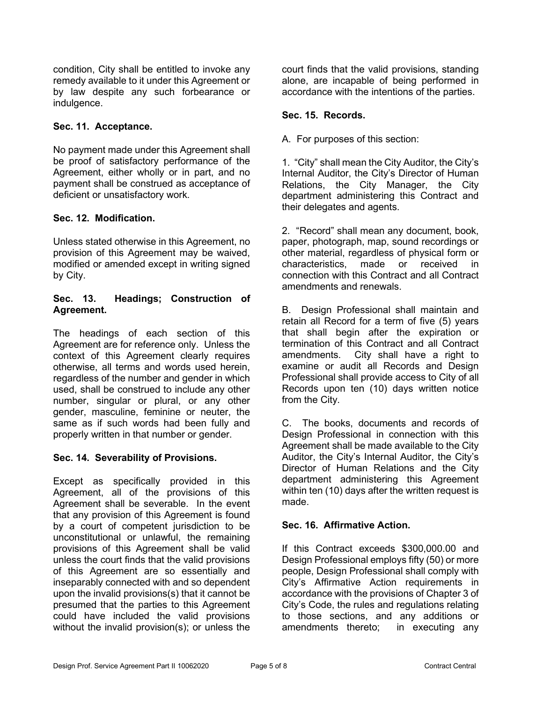condition, City shall be entitled to invoke any remedy available to it under this Agreement or by law despite any such forbearance or indulgence.

### **Sec. 11. Acceptance.**

No payment made under this Agreement shall be proof of satisfactory performance of the Agreement, either wholly or in part, and no payment shall be construed as acceptance of deficient or unsatisfactory work.

### **Sec. 12. Modification.**

Unless stated otherwise in this Agreement, no provision of this Agreement may be waived, modified or amended except in writing signed by City.

#### **Sec. 13. Headings; Construction of Agreement.**

The headings of each section of this Agreement are for reference only. Unless the context of this Agreement clearly requires otherwise, all terms and words used herein, regardless of the number and gender in which used, shall be construed to include any other number, singular or plural, or any other gender, masculine, feminine or neuter, the same as if such words had been fully and properly written in that number or gender.

### **Sec. 14. Severability of Provisions.**

Except as specifically provided in this Agreement, all of the provisions of this Agreement shall be severable. In the event that any provision of this Agreement is found by a court of competent jurisdiction to be unconstitutional or unlawful, the remaining provisions of this Agreement shall be valid unless the court finds that the valid provisions of this Agreement are so essentially and inseparably connected with and so dependent upon the invalid provisions(s) that it cannot be presumed that the parties to this Agreement could have included the valid provisions without the invalid provision(s); or unless the court finds that the valid provisions, standing alone, are incapable of being performed in accordance with the intentions of the parties.

#### **Sec. 15. Records.**

A. For purposes of this section:

1. "City" shall mean the City Auditor, the City's Internal Auditor, the City's Director of Human Relations, the City Manager, the City department administering this Contract and their delegates and agents.

2. "Record" shall mean any document, book, paper, photograph, map, sound recordings or other material, regardless of physical form or characteristics, made or received in connection with this Contract and all Contract amendments and renewals.

B. Design Professional shall maintain and retain all Record for a term of five (5) years that shall begin after the expiration or termination of this Contract and all Contract amendments. City shall have a right to examine or audit all Records and Design Professional shall provide access to City of all Records upon ten (10) days written notice from the City.

C. The books, documents and records of Design Professional in connection with this Agreement shall be made available to the City Auditor, the City's Internal Auditor, the City's Director of Human Relations and the City department administering this Agreement within ten (10) days after the written request is made.

### **Sec. 16. Affirmative Action.**

If this Contract exceeds \$300,000.00 and Design Professional employs fifty (50) or more people, Design Professional shall comply with City's Affirmative Action requirements in accordance with the provisions of Chapter 3 of City's Code, the rules and regulations relating to those sections, and any additions or amendments thereto; in executing any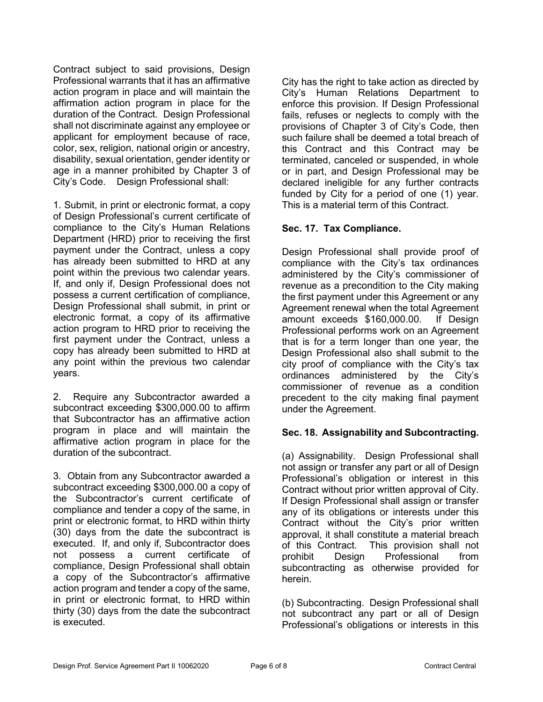Contract subject to said provisions, Design Professional warrants that it has an affirmative action program in place and will maintain the affirmation action program in place for the duration of the Contract. Design Professional shall not discriminate against any employee or applicant for employment because of race, color, sex, religion, national origin or ancestry, disability, sexual orientation, gender identity or age in a manner prohibited by Chapter 3 of City's Code. Design Professional shall:

1. Submit, in print or electronic format, a copy of Design Professional's current certificate of compliance to the City's Human Relations Department (HRD) prior to receiving the first payment under the Contract, unless a copy has already been submitted to HRD at any point within the previous two calendar years. If, and only if, Design Professional does not possess a current certification of compliance, Design Professional shall submit, in print or electronic format, a copy of its affirmative action program to HRD prior to receiving the first payment under the Contract, unless a copy has already been submitted to HRD at any point within the previous two calendar years.

2. Require any Subcontractor awarded a subcontract exceeding \$300,000.00 to affirm that Subcontractor has an affirmative action program in place and will maintain the affirmative action program in place for the duration of the subcontract.

3. Obtain from any Subcontractor awarded a subcontract exceeding \$300,000.00 a copy of the Subcontractor's current certificate of compliance and tender a copy of the same, in print or electronic format, to HRD within thirty (30) days from the date the subcontract is executed. If, and only if, Subcontractor does not possess a current certificate of compliance, Design Professional shall obtain a copy of the Subcontractor's affirmative action program and tender a copy of the same, in print or electronic format, to HRD within thirty (30) days from the date the subcontract is executed.

City has the right to take action as directed by City's Human Relations Department to enforce this provision. If Design Professional fails, refuses or neglects to comply with the provisions of Chapter 3 of City's Code, then such failure shall be deemed a total breach of this Contract and this Contract may be terminated, canceled or suspended, in whole or in part, and Design Professional may be declared ineligible for any further contracts funded by City for a period of one (1) year. This is a material term of this Contract.

### **Sec. 17. Tax Compliance.**

Design Professional shall provide proof of compliance with the City's tax ordinances administered by the City's commissioner of revenue as a precondition to the City making the first payment under this Agreement or any Agreement renewal when the total Agreement amount exceeds \$160,000.00. If Design Professional performs work on an Agreement that is for a term longer than one year, the Design Professional also shall submit to the city proof of compliance with the City's tax ordinances administered by the City's commissioner of revenue as a condition precedent to the city making final payment under the Agreement.

### **Sec. 18. Assignability and Subcontracting.**

(a) Assignability. Design Professional shall not assign or transfer any part or all of Design Professional's obligation or interest in this Contract without prior written approval of City. If Design Professional shall assign or transfer any of its obligations or interests under this Contract without the City's prior written approval, it shall constitute a material breach of this Contract. This provision shall not prohibit Design Professional from subcontracting as otherwise provided for herein.

(b) Subcontracting. Design Professional shall not subcontract any part or all of Design Professional's obligations or interests in this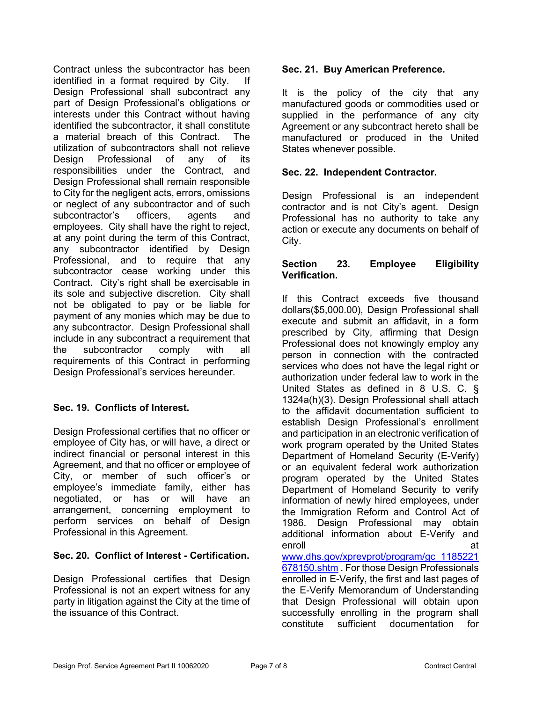Contract unless the subcontractor has been identified in a format required by City. If Design Professional shall subcontract any part of Design Professional's obligations or interests under this Contract without having identified the subcontractor, it shall constitute a material breach of this Contract. The utilization of subcontractors shall not relieve Design Professional of any of its responsibilities under the Contract, and Design Professional shall remain responsible to City for the negligent acts, errors, omissions or neglect of any subcontractor and of such subcontractor's officers, agents and employees. City shall have the right to reject, at any point during the term of this Contract, any subcontractor identified by Design Professional, and to require that any subcontractor cease working under this Contract**.** City's right shall be exercisable in its sole and subjective discretion. City shall not be obligated to pay or be liable for payment of any monies which may be due to any subcontractor. Design Professional shall include in any subcontract a requirement that the subcontractor comply with all requirements of this Contract in performing Design Professional's services hereunder.

## **Sec. 19. Conflicts of Interest.**

Design Professional certifies that no officer or employee of City has, or will have, a direct or indirect financial or personal interest in this Agreement, and that no officer or employee of City, or member of such officer's or employee's immediate family, either has negotiated, or has or will have an arrangement, concerning employment to perform services on behalf of Design Professional in this Agreement.

## **Sec. 20. Conflict of Interest - Certification.**

Design Professional certifies that Design Professional is not an expert witness for any party in litigation against the City at the time of the issuance of this Contract.

### **Sec. 21. Buy American Preference.**

It is the policy of the city that any manufactured goods or commodities used or supplied in the performance of any city Agreement or any subcontract hereto shall be manufactured or produced in the United States whenever possible.

### **Sec. 22. Independent Contractor.**

Design Professional is an independent contractor and is not City's agent. Design Professional has no authority to take any action or execute any documents on behalf of City.

### **Section 23. Employee Eligibility Verification.**

If this Contract exceeds five thousand dollars(\$5,000.00), Design Professional shall execute and submit an affidavit, in a form prescribed by City, affirming that Design Professional does not knowingly employ any person in connection with the contracted services who does not have the legal right or authorization under federal law to work in the United States as defined in 8 U.S. C. § 1324a(h)(3). Design Professional shall attach to the affidavit documentation sufficient to establish Design Professional's enrollment and participation in an electronic verification of work program operated by the United States Department of Homeland Security (E-Verify) or an equivalent federal work authorization program operated by the United States Department of Homeland Security to verify information of newly hired employees, under the Immigration Reform and Control Act of 1986. Design Professional may obtain additional information about E-Verify and enroll and a series of the series of the series of the series of the series of the series of the series of the [www.dhs.gov/xprevprot/program/gc\\_1185221](http://www.dhs.gov/xprevprot/program/gc_1185221678150.shtm) [678150.shtm](http://www.dhs.gov/xprevprot/program/gc_1185221678150.shtm) . For those Design Professionals enrolled in E-Verify, the first and last pages of the E-Verify Memorandum of Understanding that Design Professional will obtain upon successfully enrolling in the program shall<br>constitute sufficient documentation for constitute sufficient documentation for